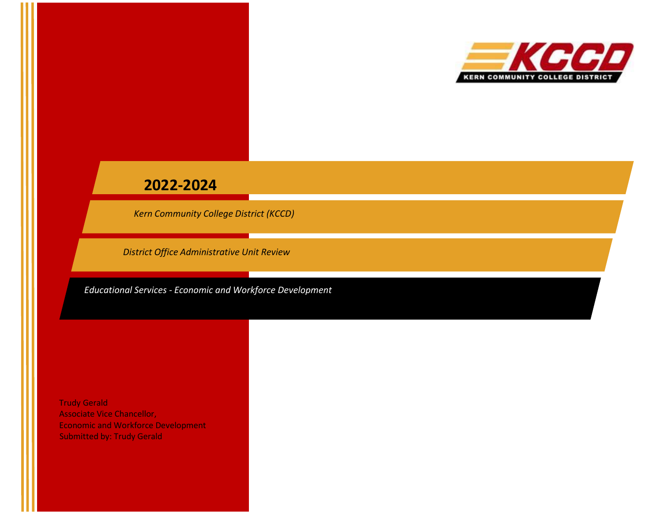

# **2022-2024**

*Kern Community College District (KCCD)*

*District Office Administrative Unit Review*

*Educational Services - Economic and Workforce Development*

Trudy Gerald Associate Vice Chancellor, Economic and Workforce Development Submitted by: Trudy Gerald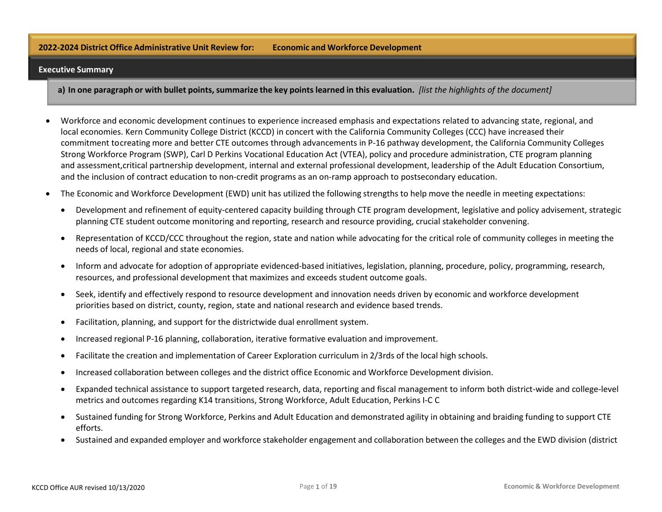#### **2022-2024 District Office Administrative Unit Review for: Economic and Workforce Development**

#### **Executive Summary**

a) In one paragraph or with bullet points, summarize the key points learned in this evaluation. *(list the highlights of the document)* 

- Workforce and economic development continues to experience increased emphasis and expectations related to advancing state, regional, and local economies. Kern Community College District (KCCD) in concert with the California Community Colleges (CCC) have increased their commitment to creating more and better CTE outcomes through advancements in P-16 pathway development, the California Community Colleges Strong Workforce Program (SWP), Carl D Perkins Vocational Education Act (VTEA), policy and procedure administration, CTE program planning and assessment,critical partnership development, internal and external professional development, leadership of the Adult Education Consortium, and the inclusion of contract education to non-credit programs as an on-ramp approach to postsecondary education.
- The Economic and Workforce Development (EWD) unit has utilized the following strengths to help move the needle in meeting expectations:
	- Development and refinement of equity-centered capacity building through CTE program development, legislative and policy advisement, strategic planning CTE student outcome monitoring and reporting, research and resource providing, crucial stakeholder convening.
	- Representation of KCCD/CCC throughout the region, state and nation while advocating for the critical role of community colleges in meeting the needs of local, regional and state economies.
	- Inform and advocate for adoption of appropriate evidenced-based initiatives, legislation, planning, procedure, policy, programming, research, resources, and professional development that maximizes and exceeds student outcome goals.
	- Seek, identify and effectively respond to resource development and innovation needs driven by economic and workforce development priorities based on district, county, region, state and national research and evidence based trends.
	- Facilitation, planning, and support for the districtwide dual enrollment system.
	- Increased regional P-16 planning, collaboration, iterative formative evaluation and improvement.
	- Facilitate the creation and implementation of Career Exploration curriculum in 2/3rds of the local high schools.
	- Increased collaboration between colleges and the district office Economic and Workforce Development division.
	- Expanded technical assistance to support targeted research, data, reporting and fiscal management to inform both district-wide and college-level metrics and outcomes regarding K14 transitions, Strong Workforce, Adult Education, Perkins I-C C
	- Sustained funding for Strong Workforce, Perkins and Adult Education and demonstrated agility in obtaining and braiding funding to support CTE efforts.
	- Sustained and expanded employer and workforce stakeholder engagement and collaboration between the colleges and the EWD division (district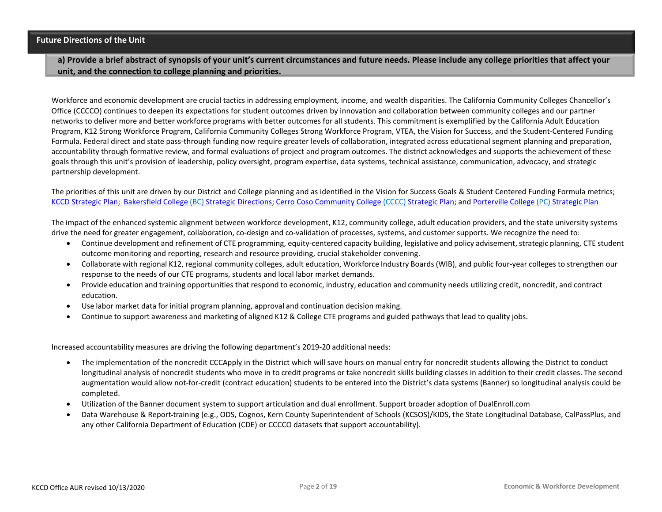**a) Provide a brief abstract of synopsis of your unit's current circumstances and future needs. Please include any college priorities that affect your unit, and the connection to college planning and priorities.**

Workforce and economic development are crucial tactics in addressing employment, income, and wealth disparities. The California Community Colleges Chancellor's Office (CCCCO) continues to deepen its expectations for student outcomes driven by innovation and collaboration between community colleges and our partner networks to deliver more and better workforce programs with better outcomes for all students. This commitment is exemplified by the California Adult Education Program, K12 Strong Workforce Program, California Community Colleges Strong Workforce Program, VTEA, the Vision for Success, and the Student-Centered Funding Formula. Federal direct and state pass-through funding now require greater levels of collaboration, integrated across educational segment planning and preparation, accountability through formative review, and formal evaluations of project and program outcomes. The district acknowledges and supports the achievement of these goals through this unit's provision of leadership, policy oversight, program expertise, data systems, technical assistance, communication, advocacy, and strategic partnership development.

The priorities of this unit are driven by our District and College planning and as identified in the Vision for Success Goals & Student Centered Funding Formula metrics; KCCD [Strategic](https://do-prod-webteam-drupalfiles.s3-us-west-2.amazonaws.com/kccdedu/s3fs-public/page/KCCD_Strategic%20Plan%202019-2022%20Adopted%2005-02-19.pdf) Plan; [Bakersfield](https://do-prod-webteam-drupalfiles.s3-us-west-2.amazonaws.com/bcedu/s3fs-public/2018-2021-strategic-directions_0.PDF) College (BC) Strategic Directions; Cerro Coso Community College [\(CCCC\) Strategic](https://do-prod-webteam-drupalfiles.s3-us-west-2.amazonaws.com/ccedu/s3fs-public/Strategic%20Plan%202019-2021.pdf) Plan; and [Porterville](https://do-prod-webteam-drupalfiles.s3-us-west-2.amazonaws.com/pcedu/s3fs-public/Porterville%20College%20Strategic%20Plan%202018-2021.pdf) College (PC) Strategic Plan

The impact of the enhanced systemic alignment between workforce development, K12, community college, adult education providers, and the state university systems drive the need for greater engagement, collaboration, co-design and co-validation of processes, systems, and customer supports. We recognize the need to:

- Continue development and refinement of CTE programming, equity-centered capacity building, legislative and policy advisement, strategic planning, CTE student outcome monitoring and reporting, research and resource providing, crucial stakeholder convening.
- Collaborate with regional K12, regional community colleges, adult education, Workforce Industry Boards (WIB), and public four-year colleges to strengthen our response to the needs of our CTE programs, students and local labor market demands.
- Provide education and training opportunities that respond to economic, industry, education and community needs utilizing credit, noncredit, and contract education.
- Use labor market data for initial program planning, approval and continuation decision making.
- Continue to support awareness and marketing of aligned K12 & College CTE programs and guided pathways that lead to quality jobs.

Increased accountability measures are driving the following department's 2019-20 additional needs:

- The implementation of the noncredit CCCApply in the District which will save hours on manual entry for noncredit students allowing the District to conduct longitudinal analysis of noncredit students who move in to credit programs or take noncredit skills building classes in addition to their credit classes. The second augmentation would allow not-for-credit (contract education) students to be entered into the District's data systems (Banner) so longitudinal analysis could be completed.
- Utilization of the Banner document system to support articulation and dual enrollment. Support broader adoption of DualEnroll.com
- Data Warehouse & Report training (e.g., ODS, Cognos, Kern County Superintendent of Schools (KCSOS)/KIDS, the State Longitudinal Database, CalPassPlus, and any other California Department of Education (CDE) or CCCCO datasets that support accountability).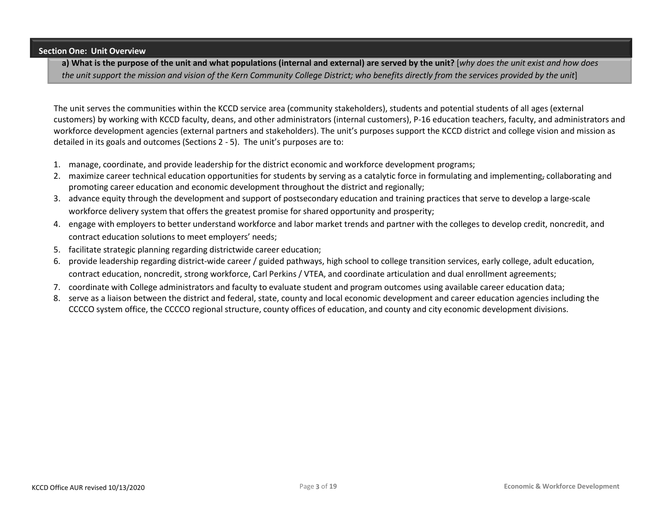#### **Section One: Unit Overview**

a) What is the purpose of the unit and what populations (internal and external) are served by the unit? [why does the unit exist and how does the unit support the mission and vision of the Kern Community College District; who benefits directly from the services provided by the unit]

The unit serves the communities within the KCCD service area (community stakeholders), students and potential students of all ages (external customers) by working with KCCD faculty, deans, and other administrators (internal customers), P-16 education teachers, faculty, and administrators and workforce development agencies (external partners and stakeholders). The unit's purposes support the KCCD district and college vision and mission as detailed in its goals and outcomes (Sections 2 - 5). The unit's purposes are to:

- 1. manage, coordinate, and provide leadership for the district economic and workforce development programs;
- 2. maximize career technical education opportunities for students by serving as a catalytic force in formulating and implementing, collaborating and promoting career education and economic development throughout the district and regionally;
- 3. advance equity through the development and support of postsecondary education and training practices that serve to develop a large-scale workforce delivery system that offers the greatest promise for shared opportunity and prosperity;
- 4. engage with employers to better understand workforce and labor market trends and partner with the colleges to develop credit, noncredit, and contract education solutions to meet employers' needs;
- 5. facilitate strategic planning regarding districtwide career education;
- 6. provide leadership regarding district-wide career / guided pathways, high school to college transition services, early college, adult education, contract education, noncredit, strong workforce, Carl Perkins / VTEA, and coordinate articulation and dual enrollment agreements;
- 7. coordinate with College administrators and faculty to evaluate student and program outcomes using available career education data;
- 8. serve as a liaison between the district and federal, state, county and local economic development and career education agencies including the CCCCO system office, the CCCCO regional structure, county offices of education, and county and city economic development divisions.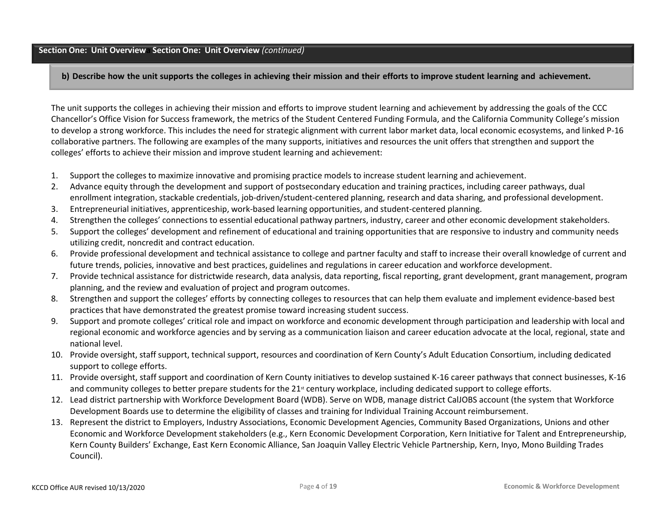### **Section One: Unit Overviewa Section One: Unit Overview** *(continued)*

b) Describe how the unit supports the colleges in achieving their mission and their efforts to improve student learning and achievement.

The unit supports the colleges in achieving their mission and efforts to improve student learning and achievement by addressing the goals of the CCC Chancellor's Office Vision for Success framework, the metrics of the Student Centered Funding Formula, and the California Community College's mission to develop a strong workforce. This includes the need for strategic alignment with current labor market data, local economic ecosystems, and linked P-16 collaborative partners. The following are examples of the many supports, initiatives and resources the unit offers that strengthen and support the colleges' efforts to achieve their mission and improve student learning and achievement:

- 1. Support the colleges to maximize innovative and promising practice models to increase student learning and achievement.
- 2. Advance equity through the development and support of postsecondary education and training practices, including career pathways, dual enrollment integration, stackable credentials, job-driven/student-centered planning, research and data sharing, and professional development.
- 3. Entrepreneurial initiatives, apprenticeship, work-based learning opportunities, and student-centered planning.
- 4. Strengthen the colleges' connections to essential educational pathway partners, industry, career and other economic development stakeholders.
- 5. Support the colleges' development and refinement of educational and training opportunities that are responsive to industry and community needs utilizing credit, noncredit and contract education.
- 6. Provide professional development and technical assistance to college and partner faculty and staff to increase their overall knowledge of current and future trends, policies, innovative and best practices, guidelines and regulations in career education and workforce development.
- 7. Provide technical assistance for districtwide research, data analysis, data reporting, fiscal reporting, grant development, grant management, program planning, and the review and evaluation of project and program outcomes.
- 8. Strengthen and support the colleges' efforts by connecting colleges to resources that can help them evaluate and implement evidence-based best practices that have demonstrated the greatest promise toward increasing student success.
- 9. Support and promote colleges' critical role and impact on workforce and economic development through participation and leadership with local and regional economic and workforce agencies and by serving as a communication liaison and career education advocate at the local, regional, state and national level.
- 10. Provide oversight, staff support, technical support, resources and coordination of Kern County's Adult Education Consortium, including dedicated support to college efforts.
- 11. Provide oversight, staff support and coordination of Kern County initiatives to develop sustained K-16 career pathways that connect businesses, K-16 and community colleges to better prepare students for the 21<sup>st</sup> century workplace, including dedicated support to college efforts.
- 12. Lead district partnership with Workforce Development Board (WDB). Serve on WDB, manage district CalJOBS account (the system that Workforce Development Boards use to determine the eligibility of classes and training for Individual Training Account reimbursement.
- 13. Represent the district to Employers, Industry Associations, Economic Development Agencies, Community Based Organizations, Unions and other Economic and Workforce Development stakeholders (e.g., Kern Economic Development Corporation, Kern Initiative for Talent and Entrepreneurship, Kern County Builders' Exchange, East Kern Economic Alliance, San Joaquin Valley Electric Vehicle Partnership, Kern, Inyo, Mono Building Trades Council).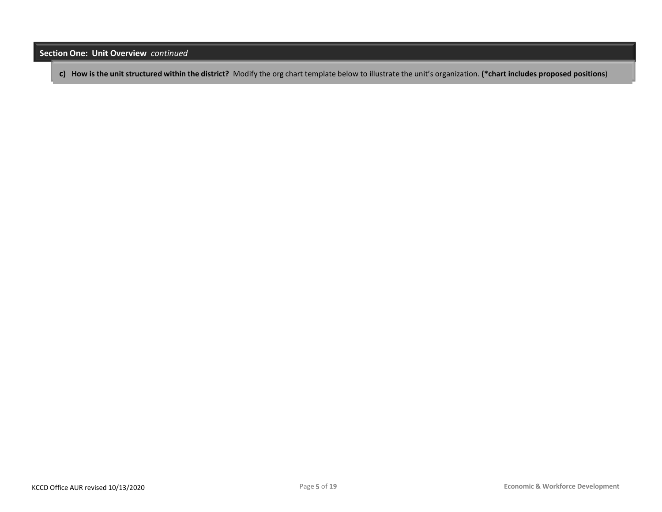**Section One: Unit Overview** *continued*

c) How is the unit structured within the district? Modify the org chart template below to illustrate the unit's organization. (\*chart includes proposed positions)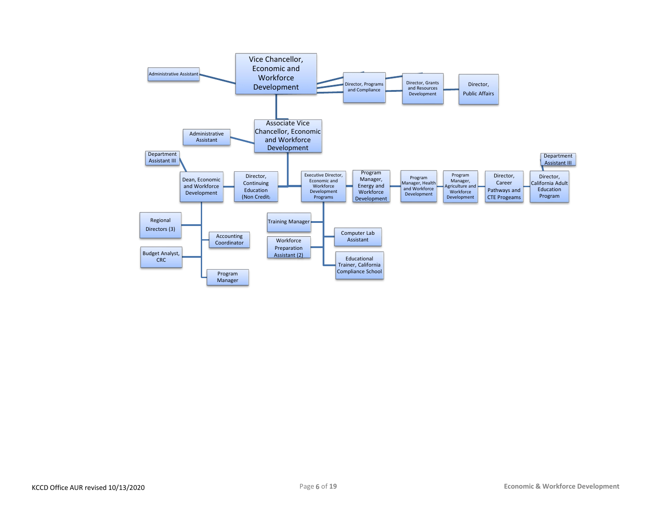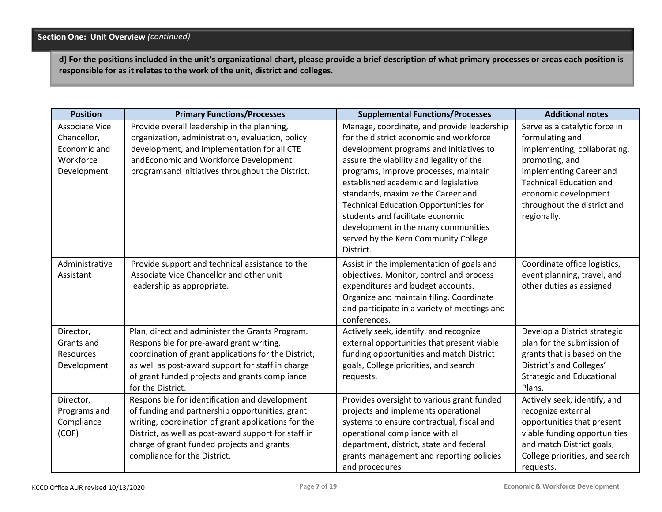**d) For the positions included in the unit's organizational chart, please provide a brief description of what primary processes or areas each position is responsible for as it relates to the work of the unit, district and colleges.**

| <b>Position</b>                                                           | <b>Primary Functions/Processes</b>                                                                                                                                                                                                                                                             | <b>Supplemental Functions/Processes</b>                                                                                                                                                                                                                                                                                                                                                                                                                                             | <b>Additional notes</b>                                                                                                                                                                                                               |
|---------------------------------------------------------------------------|------------------------------------------------------------------------------------------------------------------------------------------------------------------------------------------------------------------------------------------------------------------------------------------------|-------------------------------------------------------------------------------------------------------------------------------------------------------------------------------------------------------------------------------------------------------------------------------------------------------------------------------------------------------------------------------------------------------------------------------------------------------------------------------------|---------------------------------------------------------------------------------------------------------------------------------------------------------------------------------------------------------------------------------------|
| Associate Vice<br>Chancellor,<br>Economic and<br>Workforce<br>Development | Provide overall leadership in the planning,<br>organization, administration, evaluation, policy<br>development, and implementation for all CTE<br>andEconomic and Workforce Development<br>programsand initiatives throughout the District.                                                    | Manage, coordinate, and provide leadership<br>for the district economic and workforce<br>development programs and initiatives to<br>assure the viability and legality of the<br>programs, improve processes, maintain<br>established academic and legislative<br>standards, maximize the Career and<br><b>Technical Education Opportunities for</b><br>students and facilitate economic<br>development in the many communities<br>served by the Kern Community College<br>District. | Serve as a catalytic force in<br>formulating and<br>implementing, collaborating,<br>promoting, and<br>implementing Career and<br><b>Technical Education and</b><br>economic development<br>throughout the district and<br>regionally. |
| Administrative<br>Assistant                                               | Provide support and technical assistance to the<br>Associate Vice Chancellor and other unit<br>leadership as appropriate.                                                                                                                                                                      | Assist in the implementation of goals and<br>objectives. Monitor, control and process<br>expenditures and budget accounts.<br>Organize and maintain filing. Coordinate<br>and participate in a variety of meetings and<br>conferences.                                                                                                                                                                                                                                              | Coordinate office logistics,<br>event planning, travel, and<br>other duties as assigned.                                                                                                                                              |
| Director,<br>Grants and<br>Resources<br>Development                       | Plan, direct and administer the Grants Program.<br>Responsible for pre-award grant writing,<br>coordination of grant applications for the District,<br>as well as post-award support for staff in charge<br>of grant funded projects and grants compliance<br>for the District.                | Actively seek, identify, and recognize<br>external opportunities that present viable<br>funding opportunities and match District<br>goals, College priorities, and search<br>requests.                                                                                                                                                                                                                                                                                              | Develop a District strategic<br>plan for the submission of<br>grants that is based on the<br>District's and Colleges'<br><b>Strategic and Educational</b><br>Plans.                                                                   |
| Director,<br>Programs and<br>Compliance<br>(COF)                          | Responsible for identification and development<br>of funding and partnership opportunities; grant<br>writing, coordination of grant applications for the<br>District, as well as post-award support for staff in<br>charge of grant funded projects and grants<br>compliance for the District. | Provides oversight to various grant funded<br>projects and implements operational<br>systems to ensure contractual, fiscal and<br>operational compliance with all<br>department, district, state and federal<br>grants management and reporting policies<br>and procedures                                                                                                                                                                                                          | Actively seek, identify, and<br>recognize external<br>opportunities that present<br>viable funding opportunities<br>and match District goals,<br>College priorities, and search<br>requests.                                          |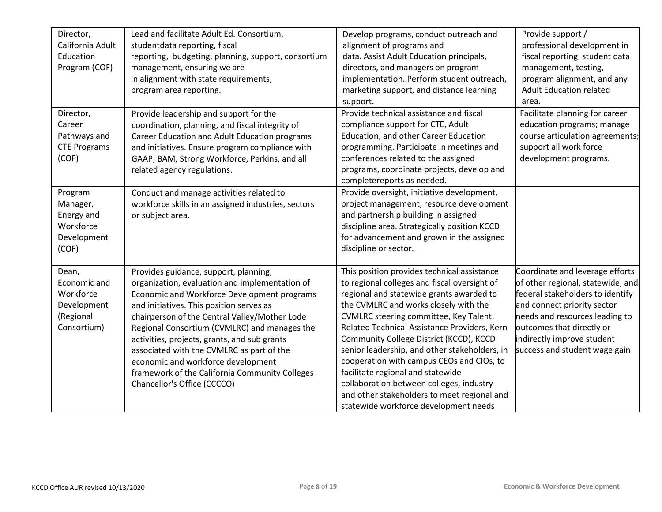| Director,<br>California Adult<br>Education<br>Program (COF)                   | Lead and facilitate Adult Ed. Consortium,<br>studentdata reporting, fiscal<br>reporting, budgeting, planning, support, consortium<br>management, ensuring we are<br>in alignment with state requirements,<br>program area reporting.                                                                                                                                                                                                                                                                    | Develop programs, conduct outreach and<br>alignment of programs and<br>data. Assist Adult Education principals,<br>directors, and managers on program<br>implementation. Perform student outreach,<br>marketing support, and distance learning<br>support.                                                                                                                                                                                                                                                                                                                                   | Provide support /<br>professional development in<br>fiscal reporting, student data<br>management, testing,<br>program alignment, and any<br><b>Adult Education related</b><br>area.                                                                                   |
|-------------------------------------------------------------------------------|---------------------------------------------------------------------------------------------------------------------------------------------------------------------------------------------------------------------------------------------------------------------------------------------------------------------------------------------------------------------------------------------------------------------------------------------------------------------------------------------------------|----------------------------------------------------------------------------------------------------------------------------------------------------------------------------------------------------------------------------------------------------------------------------------------------------------------------------------------------------------------------------------------------------------------------------------------------------------------------------------------------------------------------------------------------------------------------------------------------|-----------------------------------------------------------------------------------------------------------------------------------------------------------------------------------------------------------------------------------------------------------------------|
| Director,<br>Career<br>Pathways and<br><b>CTE Programs</b><br>(COF)           | Provide leadership and support for the<br>coordination, planning, and fiscal integrity of<br>Career Education and Adult Education programs<br>and initiatives. Ensure program compliance with<br>GAAP, BAM, Strong Workforce, Perkins, and all<br>related agency regulations.                                                                                                                                                                                                                           | Provide technical assistance and fiscal<br>compliance support for CTE, Adult<br>Education, and other Career Education<br>programming. Participate in meetings and<br>conferences related to the assigned<br>programs, coordinate projects, develop and<br>completereports as needed.                                                                                                                                                                                                                                                                                                         | Facilitate planning for career<br>education programs; manage<br>course articulation agreements;<br>support all work force<br>development programs.                                                                                                                    |
| Program<br>Manager,<br>Energy and<br>Workforce<br>Development<br>(COF)        | Conduct and manage activities related to<br>workforce skills in an assigned industries, sectors<br>or subject area.                                                                                                                                                                                                                                                                                                                                                                                     | Provide oversight, initiative development,<br>project management, resource development<br>and partnership building in assigned<br>discipline area. Strategically position KCCD<br>for advancement and grown in the assigned<br>discipline or sector.                                                                                                                                                                                                                                                                                                                                         |                                                                                                                                                                                                                                                                       |
| Dean,<br>Economic and<br>Workforce<br>Development<br>(Regional<br>Consortium) | Provides guidance, support, planning,<br>organization, evaluation and implementation of<br>Economic and Workforce Development programs<br>and initiatives. This position serves as<br>chairperson of the Central Valley/Mother Lode<br>Regional Consortium (CVMLRC) and manages the<br>activities, projects, grants, and sub grants<br>associated with the CVMLRC as part of the<br>economic and workforce development<br>framework of the California Community Colleges<br>Chancellor's Office (CCCCO) | This position provides technical assistance<br>to regional colleges and fiscal oversight of<br>regional and statewide grants awarded to<br>the CVMLRC and works closely with the<br>CVMLRC steering committee, Key Talent,<br>Related Technical Assistance Providers, Kern<br>Community College District (KCCD), KCCD<br>senior leadership, and other stakeholders, in<br>cooperation with campus CEOs and CIOs, to<br>facilitate regional and statewide<br>collaboration between colleges, industry<br>and other stakeholders to meet regional and<br>statewide workforce development needs | Coordinate and leverage efforts<br>of other regional, statewide, and<br>federal stakeholders to identify<br>and connect priority sector<br>needs and resources leading to<br>outcomes that directly or<br>indirectly improve student<br>success and student wage gain |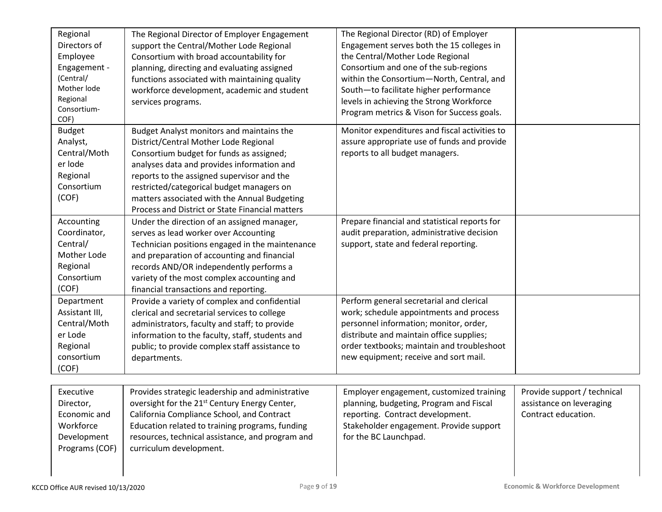| Regional<br>Directors of<br>Employee<br>Engagement -<br>(Central/<br>Mother lode<br>Regional<br>Consortium-<br>COF) | The Regional Director of Employer Engagement<br>support the Central/Mother Lode Regional<br>Consortium with broad accountability for<br>planning, directing and evaluating assigned<br>functions associated with maintaining quality<br>workforce development, academic and student<br>services programs.                                                                  | The Regional Director (RD) of Employer<br>Engagement serves both the 15 colleges in<br>the Central/Mother Lode Regional<br>Consortium and one of the sub-regions<br>within the Consortium-North, Central, and<br>South-to facilitate higher performance<br>levels in achieving the Strong Workforce<br>Program metrics & Vison for Success goals. |                                                                                |
|---------------------------------------------------------------------------------------------------------------------|----------------------------------------------------------------------------------------------------------------------------------------------------------------------------------------------------------------------------------------------------------------------------------------------------------------------------------------------------------------------------|---------------------------------------------------------------------------------------------------------------------------------------------------------------------------------------------------------------------------------------------------------------------------------------------------------------------------------------------------|--------------------------------------------------------------------------------|
| <b>Budget</b><br>Analyst,<br>Central/Moth<br>er lode<br>Regional<br>Consortium<br>(COF)                             | Budget Analyst monitors and maintains the<br>District/Central Mother Lode Regional<br>Consortium budget for funds as assigned;<br>analyses data and provides information and<br>reports to the assigned supervisor and the<br>restricted/categorical budget managers on<br>matters associated with the Annual Budgeting<br>Process and District or State Financial matters | Monitor expenditures and fiscal activities to<br>assure appropriate use of funds and provide<br>reports to all budget managers.                                                                                                                                                                                                                   |                                                                                |
| Accounting<br>Coordinator,<br>Central/<br>Mother Lode<br>Regional<br>Consortium<br>(COF)                            | Under the direction of an assigned manager,<br>serves as lead worker over Accounting<br>Technician positions engaged in the maintenance<br>and preparation of accounting and financial<br>records AND/OR independently performs a<br>variety of the most complex accounting and<br>financial transactions and reporting.                                                   | Prepare financial and statistical reports for<br>audit preparation, administrative decision<br>support, state and federal reporting.                                                                                                                                                                                                              |                                                                                |
| Department<br>Assistant III,<br>Central/Moth<br>er Lode<br>Regional<br>consortium<br>(COF)                          | Provide a variety of complex and confidential<br>clerical and secretarial services to college<br>administrators, faculty and staff; to provide<br>information to the faculty, staff, students and<br>public; to provide complex staff assistance to<br>departments.                                                                                                        | Perform general secretarial and clerical<br>work; schedule appointments and process<br>personnel information; monitor, order,<br>distribute and maintain office supplies;<br>order textbooks; maintain and troubleshoot<br>new equipment; receive and sort mail.                                                                                  |                                                                                |
| Executive<br>Director,<br>Economic and<br>Workforce<br>Development<br>Programs (COF)                                | Provides strategic leadership and administrative<br>oversight for the 21 <sup>st</sup> Century Energy Center,<br>California Compliance School, and Contract<br>Education related to training programs, funding<br>resources, technical assistance, and program and<br>curriculum development.                                                                              | Employer engagement, customized training<br>planning, budgeting, Program and Fiscal<br>reporting. Contract development.<br>Stakeholder engagement. Provide support<br>for the BC Launchpad.                                                                                                                                                       | Provide support / technical<br>assistance on leveraging<br>Contract education. |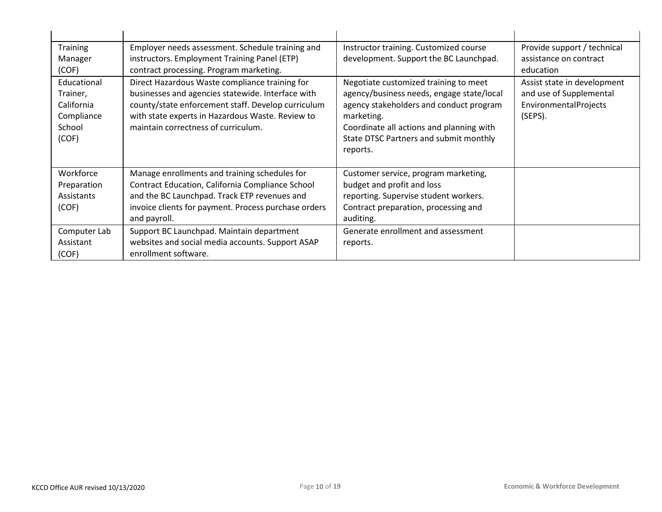| <b>Training</b><br>Manager<br>(COF)<br>Educational<br>Trainer,<br>California<br>Compliance<br>School<br>(COF) | Employer needs assessment. Schedule training and<br>instructors. Employment Training Panel (ETP)<br>contract processing. Program marketing.<br>Direct Hazardous Waste compliance training for<br>businesses and agencies statewide. Interface with<br>county/state enforcement staff. Develop curriculum<br>with state experts in Hazardous Waste. Review to<br>maintain correctness of curriculum. | Instructor training. Customized course<br>development. Support the BC Launchpad.<br>Negotiate customized training to meet<br>agency/business needs, engage state/local<br>agency stakeholders and conduct program<br>marketing.<br>Coordinate all actions and planning with<br>State DTSC Partners and submit monthly<br>reports. | Provide support / technical<br>assistance on contract<br>education<br>Assist state in development<br>and use of Supplemental<br>EnvironmentalProjects<br>(SEPS). |
|---------------------------------------------------------------------------------------------------------------|-----------------------------------------------------------------------------------------------------------------------------------------------------------------------------------------------------------------------------------------------------------------------------------------------------------------------------------------------------------------------------------------------------|-----------------------------------------------------------------------------------------------------------------------------------------------------------------------------------------------------------------------------------------------------------------------------------------------------------------------------------|------------------------------------------------------------------------------------------------------------------------------------------------------------------|
| Workforce<br>Preparation<br>Assistants<br>(COF)<br>Computer Lab<br>Assistant<br>(COF)                         | Manage enrollments and training schedules for<br>Contract Education, California Compliance School<br>and the BC Launchpad. Track ETP revenues and<br>invoice clients for payment. Process purchase orders<br>and payroll.<br>Support BC Launchpad. Maintain department<br>websites and social media accounts. Support ASAP<br>enrollment software.                                                  | Customer service, program marketing,<br>budget and profit and loss<br>reporting. Supervise student workers.<br>Contract preparation, processing and<br>auditing.<br>Generate enrollment and assessment<br>reports.                                                                                                                |                                                                                                                                                                  |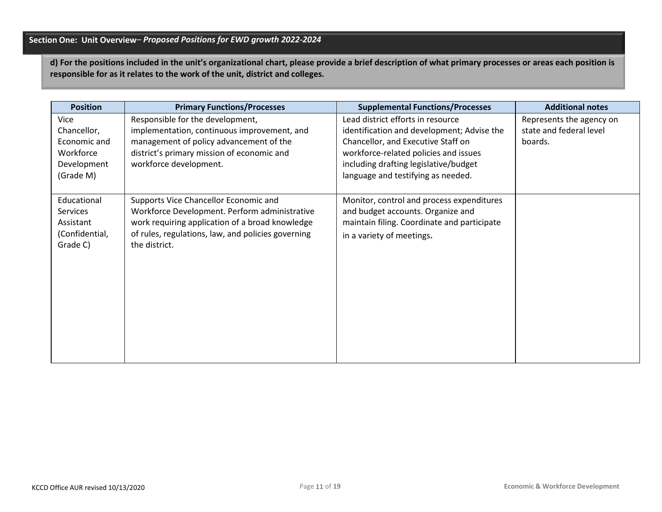## **Section One: Unit Overview***– Proposed Positions for EWD growth 2022-2024*

**d) For the positions included in the unit's organizational chart, please provide a brief description of what primary processes or areas each position is responsible for as it relates to the work of the unit, district and colleges.**

| <b>Position</b>                                                              | <b>Primary Functions/Processes</b>                                                                                                                                                                               | <b>Supplemental Functions/Processes</b>                                                                                                                                                                                                       | <b>Additional notes</b>                                        |
|------------------------------------------------------------------------------|------------------------------------------------------------------------------------------------------------------------------------------------------------------------------------------------------------------|-----------------------------------------------------------------------------------------------------------------------------------------------------------------------------------------------------------------------------------------------|----------------------------------------------------------------|
| Vice<br>Chancellor,<br>Economic and<br>Workforce<br>Development<br>(Grade M) | Responsible for the development,<br>implementation, continuous improvement, and<br>management of policy advancement of the<br>district's primary mission of economic and<br>workforce development.               | Lead district efforts in resource<br>identification and development; Advise the<br>Chancellor, and Executive Staff on<br>workforce-related policies and issues<br>including drafting legislative/budget<br>language and testifying as needed. | Represents the agency on<br>state and federal level<br>boards. |
| Educational<br>Services<br>Assistant<br>(Confidential,<br>Grade C)           | Supports Vice Chancellor Economic and<br>Workforce Development. Perform administrative<br>work requiring application of a broad knowledge<br>of rules, regulations, law, and policies governing<br>the district. | Monitor, control and process expenditures<br>and budget accounts. Organize and<br>maintain filing. Coordinate and participate<br>in a variety of meetings.                                                                                    |                                                                |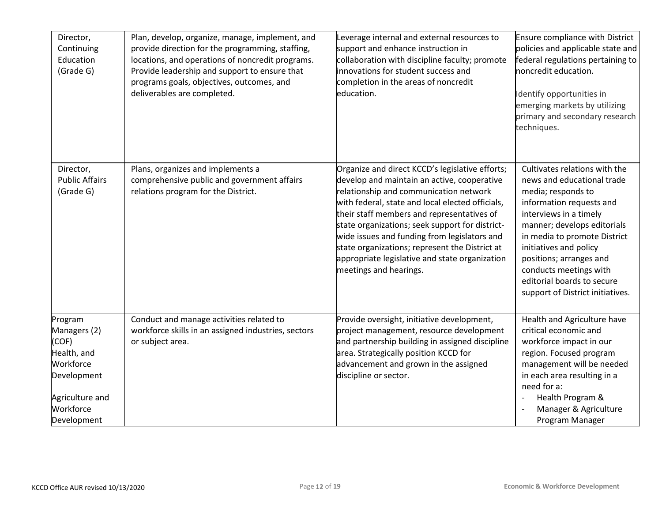| Director,<br>Continuing<br>Education<br>(Grade G)                                                                          | Plan, develop, organize, manage, implement, and<br>provide direction for the programming, staffing,<br>locations, and operations of noncredit programs.<br>Provide leadership and support to ensure that<br>programs goals, objectives, outcomes, and<br>deliverables are completed. | Leverage internal and external resources to<br>support and enhance instruction in<br>collaboration with discipline faculty; promote<br>innovations for student success and<br>completion in the areas of noncredit<br>education.                                                                                                                                                                                                                                            | <b>Ensure compliance with District</b><br>policies and applicable state and<br>federal regulations pertaining to<br>noncredit education.<br>Identify opportunities in<br>emerging markets by utilizing<br>primary and secondary research<br>techniques.                                                                                                 |
|----------------------------------------------------------------------------------------------------------------------------|--------------------------------------------------------------------------------------------------------------------------------------------------------------------------------------------------------------------------------------------------------------------------------------|-----------------------------------------------------------------------------------------------------------------------------------------------------------------------------------------------------------------------------------------------------------------------------------------------------------------------------------------------------------------------------------------------------------------------------------------------------------------------------|---------------------------------------------------------------------------------------------------------------------------------------------------------------------------------------------------------------------------------------------------------------------------------------------------------------------------------------------------------|
| Director,<br><b>Public Affairs</b><br>(Grade G)                                                                            | Plans, organizes and implements a<br>comprehensive public and government affairs<br>relations program for the District.                                                                                                                                                              | Organize and direct KCCD's legislative efforts;<br>develop and maintain an active, cooperative<br>relationship and communication network<br>with federal, state and local elected officials,<br>their staff members and representatives of<br>state organizations; seek support for district-<br>wide issues and funding from legislators and<br>state organizations; represent the District at<br>appropriate legislative and state organization<br>meetings and hearings. | Cultivates relations with the<br>news and educational trade<br>media; responds to<br>information requests and<br>interviews in a timely<br>manner; develops editorials<br>in media to promote District<br>initiatives and policy<br>positions; arranges and<br>conducts meetings with<br>editorial boards to secure<br>support of District initiatives. |
| Program<br>Managers (2)<br>(COF)<br>Health, and<br>Workforce<br>Development<br>Agriculture and<br>Workforce<br>Development | Conduct and manage activities related to<br>workforce skills in an assigned industries, sectors<br>or subject area.                                                                                                                                                                  | Provide oversight, initiative development,<br>project management, resource development<br>and partnership building in assigned discipline<br>area. Strategically position KCCD for<br>advancement and grown in the assigned<br>discipline or sector.                                                                                                                                                                                                                        | Health and Agriculture have<br>critical economic and<br>workforce impact in our<br>region. Focused program<br>management will be needed<br>in each area resulting in a<br>need for a:<br>Health Program &<br>Manager & Agriculture<br>Program Manager                                                                                                   |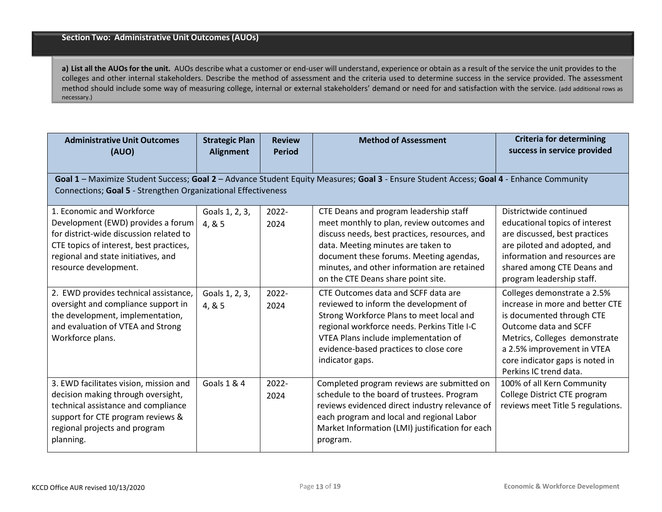**a) List all the AUOs for the unit.** AUOs describe what a customer or end-user will understand, experience or obtain as a result of the service the unit provides to the colleges and other internal stakeholders. Describe the method of assessment and the criteria used to determine success in the service provided. The assessment method should include some way of measuring college, internal or external stakeholders' demand or need for and satisfaction with the service. (add additional rows as necessary.)

| <b>Administrative Unit Outcomes</b><br>(AUO)                                                                                                                                                                          | <b>Strategic Plan</b><br><b>Alignment</b> | <b>Review</b><br><b>Period</b> | <b>Method of Assessment</b>                                                                                                                                                                                                                                                                                        | <b>Criteria for determining</b><br>success in service provided                                                                                                                                                                                                                |  |
|-----------------------------------------------------------------------------------------------------------------------------------------------------------------------------------------------------------------------|-------------------------------------------|--------------------------------|--------------------------------------------------------------------------------------------------------------------------------------------------------------------------------------------------------------------------------------------------------------------------------------------------------------------|-------------------------------------------------------------------------------------------------------------------------------------------------------------------------------------------------------------------------------------------------------------------------------|--|
| Goal 1 - Maximize Student Success; Goal 2 - Advance Student Equity Measures; Goal 3 - Ensure Student Access; Goal 4 - Enhance Community<br>Connections; Goal 5 - Strengthen Organizational Effectiveness              |                                           |                                |                                                                                                                                                                                                                                                                                                                    |                                                                                                                                                                                                                                                                               |  |
| 1. Economic and Workforce<br>Development (EWD) provides a forum<br>for district-wide discussion related to<br>CTE topics of interest, best practices,<br>regional and state initiatives, and<br>resource development. | Goals 1, 2, 3,<br>4, & 5                  | 2022-<br>2024                  | CTE Deans and program leadership staff<br>meet monthly to plan, review outcomes and<br>discuss needs, best practices, resources, and<br>data. Meeting minutes are taken to<br>document these forums. Meeting agendas,<br>minutes, and other information are retained                                               | Districtwide continued<br>educational topics of interest<br>are discussed, best practices<br>are piloted and adopted, and<br>information and resources are<br>shared among CTE Deans and                                                                                      |  |
| 2. EWD provides technical assistance,<br>oversight and compliance support in<br>the development, implementation,<br>and evaluation of VTEA and Strong<br>Workforce plans.                                             | Goals 1, 2, 3,<br>4, & 5                  | 2022-<br>2024                  | on the CTE Deans share point site.<br>CTE Outcomes data and SCFF data are<br>reviewed to inform the development of<br>Strong Workforce Plans to meet local and<br>regional workforce needs. Perkins Title I-C<br>VTEA Plans include implementation of<br>evidence-based practices to close core<br>indicator gaps. | program leadership staff.<br>Colleges demonstrate a 2.5%<br>increase in more and better CTE<br>is documented through CTE<br>Outcome data and SCFF<br>Metrics, Colleges demonstrate<br>a 2.5% improvement in VTEA<br>core indicator gaps is noted in<br>Perkins IC trend data. |  |
| 3. EWD facilitates vision, mission and<br>decision making through oversight,<br>technical assistance and compliance<br>support for CTE program reviews &<br>regional projects and program<br>planning.                | <b>Goals 1 &amp; 4</b>                    | 2022-<br>2024                  | Completed program reviews are submitted on<br>schedule to the board of trustees. Program<br>reviews evidenced direct industry relevance of<br>each program and local and regional Labor<br>Market Information (LMI) justification for each<br>program.                                                             | 100% of all Kern Community<br>College District CTE program<br>reviews meet Title 5 regulations.                                                                                                                                                                               |  |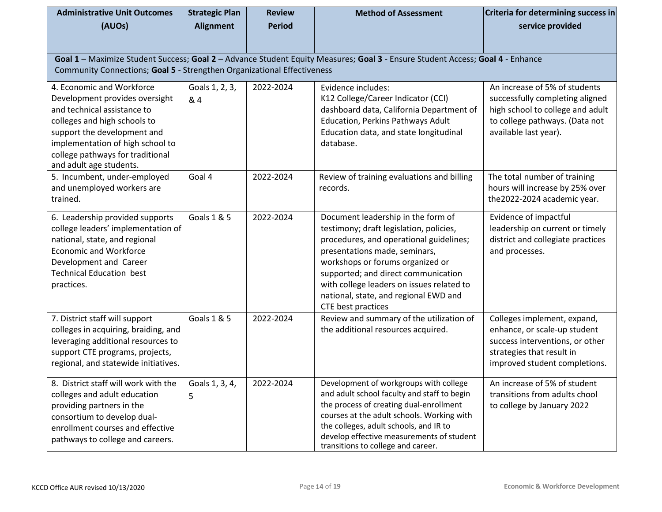| <b>Administrative Unit Outcomes</b><br>(AUOs)                                                                                                                                                                                                                | <b>Strategic Plan</b><br><b>Alignment</b> | <b>Review</b><br><b>Period</b> | <b>Method of Assessment</b>                                                                                                                                                                                                                                                                                                                      | Criteria for determining success in<br>service provided                                                                                                         |  |  |  |
|--------------------------------------------------------------------------------------------------------------------------------------------------------------------------------------------------------------------------------------------------------------|-------------------------------------------|--------------------------------|--------------------------------------------------------------------------------------------------------------------------------------------------------------------------------------------------------------------------------------------------------------------------------------------------------------------------------------------------|-----------------------------------------------------------------------------------------------------------------------------------------------------------------|--|--|--|
|                                                                                                                                                                                                                                                              |                                           |                                |                                                                                                                                                                                                                                                                                                                                                  |                                                                                                                                                                 |  |  |  |
| Goal 1 - Maximize Student Success; Goal 2 - Advance Student Equity Measures; Goal 3 - Ensure Student Access; Goal 4 - Enhance                                                                                                                                |                                           |                                |                                                                                                                                                                                                                                                                                                                                                  |                                                                                                                                                                 |  |  |  |
| Community Connections; Goal 5 - Strengthen Organizational Effectiveness                                                                                                                                                                                      |                                           |                                |                                                                                                                                                                                                                                                                                                                                                  |                                                                                                                                                                 |  |  |  |
| 4. Economic and Workforce<br>Development provides oversight<br>and technical assistance to<br>colleges and high schools to<br>support the development and<br>implementation of high school to<br>college pathways for traditional<br>and adult age students. | Goals 1, 2, 3,<br>& 4                     | 2022-2024                      | Evidence includes:<br>K12 College/Career Indicator (CCI)<br>dashboard data, California Department of<br><b>Education, Perkins Pathways Adult</b><br>Education data, and state longitudinal<br>database.                                                                                                                                          | An increase of 5% of students<br>successfully completing aligned<br>high school to college and adult<br>to college pathways. (Data not<br>available last year). |  |  |  |
| 5. Incumbent, under-employed<br>and unemployed workers are<br>trained.                                                                                                                                                                                       | Goal 4                                    | 2022-2024                      | Review of training evaluations and billing<br>records.                                                                                                                                                                                                                                                                                           | The total number of training<br>hours will increase by 25% over<br>the2022-2024 academic year.                                                                  |  |  |  |
| 6. Leadership provided supports<br>college leaders' implementation of<br>national, state, and regional<br><b>Economic and Workforce</b><br>Development and Career<br><b>Technical Education best</b><br>practices.                                           | Goals 1 & 5                               | 2022-2024                      | Document leadership in the form of<br>testimony; draft legislation, policies,<br>procedures, and operational guidelines;<br>presentations made, seminars,<br>workshops or forums organized or<br>supported; and direct communication<br>with college leaders on issues related to<br>national, state, and regional EWD and<br>CTE best practices | Evidence of impactful<br>leadership on current or timely<br>district and collegiate practices<br>and processes.                                                 |  |  |  |
| 7. District staff will support<br>colleges in acquiring, braiding, and<br>leveraging additional resources to<br>support CTE programs, projects,<br>regional, and statewide initiatives.                                                                      | Goals 1 & 5                               | 2022-2024                      | Review and summary of the utilization of<br>the additional resources acquired.                                                                                                                                                                                                                                                                   | Colleges implement, expand,<br>enhance, or scale-up student<br>success interventions, or other<br>strategies that result in<br>improved student completions.    |  |  |  |
| 8. District staff will work with the<br>colleges and adult education<br>providing partners in the<br>consortium to develop dual-<br>enrollment courses and effective<br>pathways to college and careers.                                                     | Goals 1, 3, 4,<br>5.                      | 2022-2024                      | Development of workgroups with college<br>and adult school faculty and staff to begin<br>the process of creating dual-enrollment<br>courses at the adult schools. Working with<br>the colleges, adult schools, and IR to<br>develop effective measurements of student<br>transitions to college and career.                                      | An increase of 5% of student<br>transitions from adults chool<br>to college by January 2022                                                                     |  |  |  |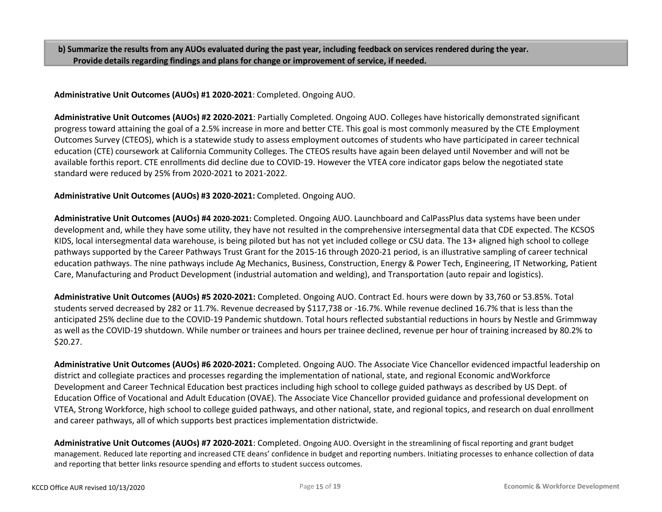b) Summarize the results from any AUOs evaluated during the past year, including feedback on services rendered during the year. **Provide details regarding findings and plans for change or improvement of service, if needed.**

**Administrative Unit Outcomes (AUOs) #1 2020-2021**: Completed. Ongoing AUO.

**Administrative Unit Outcomes (AUOs) #2 2020-2021**: Partially Completed. Ongoing AUO. Colleges have historically demonstrated significant progress toward attaining the goal of a 2.5% increase in more and better CTE. This goal is most commonly measured by the CTE Employment Outcomes Survey (CTEOS), which is a statewide study to assess employment outcomes of students who have participated in career technical education (CTE) coursework at California Community Colleges. The CTEOS results have again been delayed until November and will not be available forthis report. CTE enrollments did decline due to COVID-19. However the VTEA core indicator gaps below the negotiated state standard were reduced by 25% from 2020-2021 to 2021-2022.

## **Administrative Unit Outcomes (AUOs) #3 2020-2021:** Completed. Ongoing AUO.

**Administrative Unit Outcomes (AUOs) #4 2020-2021:** Completed. Ongoing AUO. Launchboard and CalPassPlus data systems have been under development and, while they have some utility, they have not resulted in the comprehensive intersegmental data that CDE expected. The KCSOS KIDS, local intersegmental data warehouse, is being piloted but has not yet included college or CSU data. The 13+ aligned high school to college pathways supported by the Career Pathways Trust Grant for the 2015-16 through 2020-21 period, is an illustrative sampling of career technical education pathways. The nine pathways include Ag Mechanics, Business, Construction, Energy & Power Tech, Engineering, IT Networking, Patient Care, Manufacturing and Product Development (industrial automation and welding), and Transportation (auto repair and logistics).

**Administrative Unit Outcomes (AUOs) #5 2020-2021:** Completed. Ongoing AUO. Contract Ed. hours were down by 33,760 or 53.85%. Total students served decreased by 282 or 11.7%. Revenue decreased by \$117,738 or -16.7%. While revenue declined 16.7% that is less than the anticipated 25% decline due to the COVID-19 Pandemic shutdown. Total hours reflected substantial reductions in hours by Nestle and Grimmway as well as the COVID-19 shutdown. While number or trainees and hours per trainee declined, revenue per hour of training increased by 80.2% to \$20.27.

**Administrative Unit Outcomes (AUOs) #6 2020-2021:** Completed. Ongoing AUO. The Associate Vice Chancellor evidenced impactful leadership on district and collegiate practices and processes regarding the implementation of national, state, and regional Economic andWorkforce Development and Career Technical Education best practices including high school to college guided pathways as described by US Dept. of Education Office of Vocational and Adult Education (OVAE). The Associate Vice Chancellor provided guidance and professional development on VTEA, Strong Workforce, high school to college guided pathways, and other national, state, and regional topics, and research on dual enrollment and career pathways, all of which supports best practices implementation districtwide.

**Administrative Unit Outcomes (AUOs) #7 2020-2021**: Completed. Ongoing AUO. Oversight in the streamlining of fiscal reporting and grant budget management. Reduced late reporting and increased CTE deans' confidence in budget and reporting numbers. Initiating processes to enhance collection of data and reporting that better links resource spending and efforts to student success outcomes.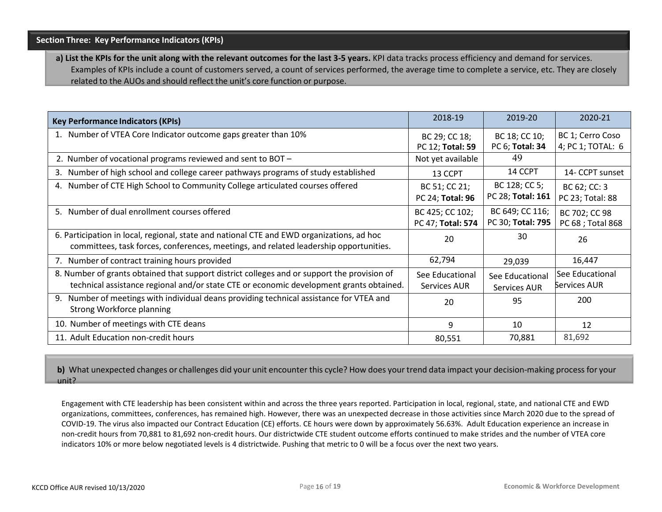**a) List the KPIs for the unit along with the relevant outcomes for the last 3-5 years.** KPI data tracks process efficiency and demand for services. Examples of KPIs include a count of customers served, a count of services performed, the average time to complete a service, etc. They are closely related to the AUOs and should reflect the unit's core function or purpose.

| <b>Key Performance Indicators (KPIs)</b>                                                                                                                                               | 2018-19                              | 2019-20                              | 2020-21                               |
|----------------------------------------------------------------------------------------------------------------------------------------------------------------------------------------|--------------------------------------|--------------------------------------|---------------------------------------|
| 1. Number of VTEA Core Indicator outcome gaps greater than 10%                                                                                                                         | BC 29; CC 18;<br>PC 12; Total: 59    | BC 18; CC 10;<br>PC 6; Total: 34     | BC 1; Cerro Coso<br>4; PC 1; TOTAL: 6 |
| 2. Number of vocational programs reviewed and sent to BOT -                                                                                                                            | Not yet available                    | 49                                   |                                       |
| 3. Number of high school and college career pathways programs of study established                                                                                                     | 13 CCPT                              | 14 CCPT                              | 14- CCPT sunset                       |
| 4. Number of CTE High School to Community College articulated courses offered                                                                                                          | BC 51; CC 21;<br>PC 24; Total: 96    | BC 128; CC 5;<br>PC 28; Total: 161   | BC 62; CC: 3<br>PC 23; Total: 88      |
| 5. Number of dual enrollment courses offered                                                                                                                                           | BC 425; CC 102;<br>PC 47; Total: 574 | BC 649; CC 116;<br>PC 30; Total: 795 | BC 702; CC 98<br>PC 68 ; Total 868    |
| 6. Participation in local, regional, state and national CTE and EWD organizations, ad hoc<br>committees, task forces, conferences, meetings, and related leadership opportunities.     | 20                                   | 30                                   | 26                                    |
| 7. Number of contract training hours provided                                                                                                                                          | 62,794                               | 29,039                               | 16,447                                |
| 8. Number of grants obtained that support district colleges and or support the provision of<br>technical assistance regional and/or state CTE or economic development grants obtained. | See Educational<br>Services AUR      | See Educational<br>Services AUR      | See Educational<br>Services AUR       |
| Number of meetings with individual deans providing technical assistance for VTEA and<br>9.<br><b>Strong Workforce planning</b>                                                         | 20                                   | 95                                   | 200                                   |
| 10. Number of meetings with CTE deans                                                                                                                                                  | 9                                    | 10                                   | 12                                    |
| 11. Adult Education non-credit hours                                                                                                                                                   | 80,551                               | 70,881                               | 81,692                                |

**b)** What unexpected changes or challenges did your unit encounter this cycle? How does your trend data impact your decision-making process for your unit?

Engagement with CTE leadership has been consistent within and across the three years reported. Participation in local, regional, state, and national CTE and EWD organizations, committees, conferences, has remained high. However, there was an unexpected decrease in those activities since March 2020 due to the spread of COVID-19. The virus also impacted our Contract Education (CE) efforts. CE hours were down by approximately 56.63%. Adult Education experience an increase in non-credit hours from 70,881 to 81,692 non-credit hours. Our districtwide CTE student outcome efforts continued to make strides and the number of VTEA core indicators 10% or more below negotiated levels is 4 districtwide. Pushing that metric to 0 will be a focus over the next two years.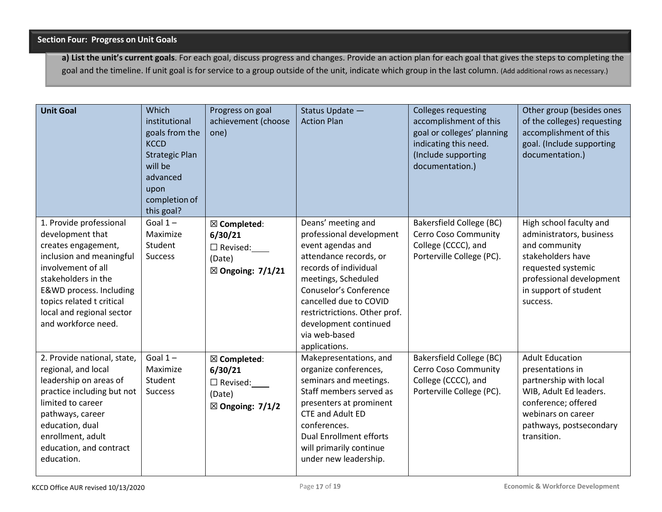**a) List the unit's current goals**. For each goal, discuss progress and changes. Provide an action plan for each goal that gives the steps to completing the goal and the timeline. If unit goal is for service to a group outside of the unit, indicate which group in the last column. (Add additional rows as necessary.)

| <b>Unit Goal</b>                                                                                                                                                                                                                                        | Which<br>institutional<br>goals from the<br><b>KCCD</b><br><b>Strategic Plan</b><br>will be<br>advanced<br>upon<br>completion of<br>this goal? | Progress on goal<br>achievement (choose<br>one)                                                 | Status Update -<br><b>Action Plan</b>                                                                                                                                                                                                                                                         | <b>Colleges requesting</b><br>accomplishment of this<br>goal or colleges' planning<br>indicating this need.<br>(Include supporting<br>documentation.) | Other group (besides ones<br>of the colleges) requesting<br>accomplishment of this<br>goal. (Include supporting<br>documentation.)                                                    |
|---------------------------------------------------------------------------------------------------------------------------------------------------------------------------------------------------------------------------------------------------------|------------------------------------------------------------------------------------------------------------------------------------------------|-------------------------------------------------------------------------------------------------|-----------------------------------------------------------------------------------------------------------------------------------------------------------------------------------------------------------------------------------------------------------------------------------------------|-------------------------------------------------------------------------------------------------------------------------------------------------------|---------------------------------------------------------------------------------------------------------------------------------------------------------------------------------------|
| 1. Provide professional<br>development that<br>creates engagement,<br>inclusion and meaningful<br>involvement of all<br>stakeholders in the<br>E&WD process. Including<br>topics related t critical<br>local and regional sector<br>and workforce need. | Goal $1-$<br>Maximize<br>Student<br><b>Success</b>                                                                                             | $\boxtimes$ Completed:<br>6/30/21<br>□ Revised:<br>(Date)<br>$\boxtimes$ Ongoing: 7/1/21        | Deans' meeting and<br>professional development<br>event agendas and<br>attendance records, or<br>records of individual<br>meetings, Scheduled<br>Conuselor's Conference<br>cancelled due to COVID<br>restrictrictions. Other prof.<br>development continued<br>via web-based<br>applications. | <b>Bakersfield College (BC)</b><br>Cerro Coso Community<br>College (CCCC), and<br>Porterville College (PC).                                           | High school faculty and<br>administrators, business<br>and community<br>stakeholders have<br>requested systemic<br>professional development<br>in support of student<br>success.      |
| 2. Provide national, state,<br>regional, and local<br>leadership on areas of<br>practice including but not<br>limited to career<br>pathways, career<br>education, dual<br>enrollment, adult<br>education, and contract<br>education.                    | Goal $1-$<br>Maximize<br>Student<br><b>Success</b>                                                                                             | $\boxtimes$ Completed:<br>6/30/21<br>$\square$ Revised:<br>(Date)<br>$\boxtimes$ Ongoing: 7/1/2 | Makepresentations, and<br>organize conferences,<br>seminars and meetings.<br>Staff members served as<br>presenters at prominent<br><b>CTE and Adult ED</b><br>conferences.<br><b>Dual Enrollment efforts</b><br>will primarily continue<br>under new leadership.                              | <b>Bakersfield College (BC)</b><br>Cerro Coso Community<br>College (CCCC), and<br>Porterville College (PC).                                           | <b>Adult Education</b><br>presentations in<br>partnership with local<br>WIB, Adult Ed leaders.<br>conference; offered<br>webinars on career<br>pathways, postsecondary<br>transition. |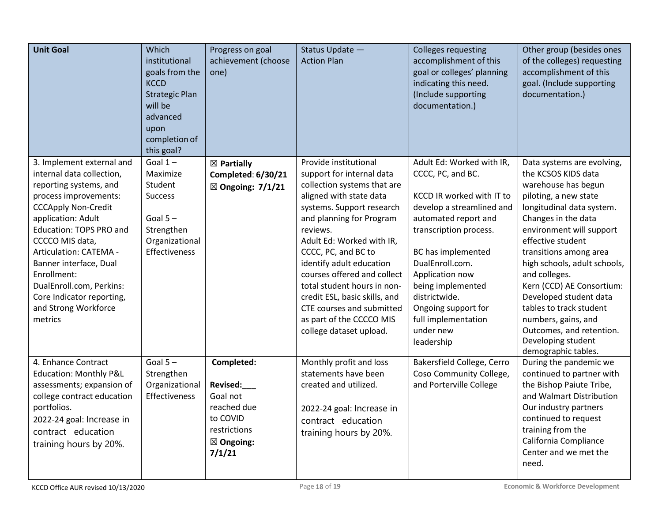| <b>Unit Goal</b>                                                                                                                                                                                                                                                                                                                                                           | Which<br>institutional<br>goals from the<br><b>KCCD</b><br><b>Strategic Plan</b><br>will be<br>advanced<br>upon<br>completion of<br>this goal? | Progress on goal<br>achievement (choose<br>one)                                                                 | Status Update -<br><b>Action Plan</b>                                                                                                                                                                                                                                                                                                                                                                                                                | <b>Colleges requesting</b><br>accomplishment of this<br>goal or colleges' planning<br>indicating this need.<br>(Include supporting<br>documentation.)                                                                                                                                                                                 | Other group (besides ones<br>of the colleges) requesting<br>accomplishment of this<br>goal. (Include supporting<br>documentation.)                                                                                                                                                                                                                                                                                                                                  |
|----------------------------------------------------------------------------------------------------------------------------------------------------------------------------------------------------------------------------------------------------------------------------------------------------------------------------------------------------------------------------|------------------------------------------------------------------------------------------------------------------------------------------------|-----------------------------------------------------------------------------------------------------------------|------------------------------------------------------------------------------------------------------------------------------------------------------------------------------------------------------------------------------------------------------------------------------------------------------------------------------------------------------------------------------------------------------------------------------------------------------|---------------------------------------------------------------------------------------------------------------------------------------------------------------------------------------------------------------------------------------------------------------------------------------------------------------------------------------|---------------------------------------------------------------------------------------------------------------------------------------------------------------------------------------------------------------------------------------------------------------------------------------------------------------------------------------------------------------------------------------------------------------------------------------------------------------------|
| 3. Implement external and<br>internal data collection,<br>reporting systems, and<br>process improvements:<br><b>CCCApply Non-Credit</b><br>application: Adult<br>Education: TOPS PRO and<br>CCCCO MIS data,<br>Articulation: CATEMA -<br>Banner interface, Dual<br>Enrollment:<br>DualEnroll.com, Perkins:<br>Core Indicator reporting,<br>and Strong Workforce<br>metrics | Goal $1-$<br>Maximize<br>Student<br><b>Success</b><br>Goal $5 -$<br>Strengthen<br>Organizational<br>Effectiveness                              | $\boxtimes$ Partially<br>Completed: 6/30/21<br>$\boxtimes$ Ongoing: 7/1/21                                      | Provide institutional<br>support for internal data<br>collection systems that are<br>aligned with state data<br>systems. Support research<br>and planning for Program<br>reviews.<br>Adult Ed: Worked with IR,<br>CCCC, PC, and BC to<br>identify adult education<br>courses offered and collect<br>total student hours in non-<br>credit ESL, basic skills, and<br>CTE courses and submitted<br>as part of the CCCCO MIS<br>college dataset upload. | Adult Ed: Worked with IR,<br>CCCC, PC, and BC.<br>KCCD IR worked with IT to<br>develop a streamlined and<br>automated report and<br>transcription process.<br>BC has implemented<br>DualEnroll.com.<br>Application now<br>being implemented<br>districtwide.<br>Ongoing support for<br>full implementation<br>under new<br>leadership | Data systems are evolving,<br>the KCSOS KIDS data<br>warehouse has begun<br>piloting, a new state<br>longitudinal data system.<br>Changes in the data<br>environment will support<br>effective student<br>transitions among area<br>high schools, adult schools,<br>and colleges.<br>Kern (CCD) AE Consortium:<br>Developed student data<br>tables to track student<br>numbers, gains, and<br>Outcomes, and retention.<br>Developing student<br>demographic tables. |
| 4. Enhance Contract<br><b>Education: Monthly P&amp;L</b><br>assessments; expansion of<br>college contract education<br>portfolios.<br>2022-24 goal: Increase in<br>contract education<br>training hours by 20%.                                                                                                                                                            | Goal $5 -$<br>Strengthen<br>Organizational<br>Effectiveness                                                                                    | Completed:<br>Revised:<br>Goal not<br>reached due<br>to COVID<br>restrictions<br>$\boxtimes$ Ongoing:<br>7/1/21 | Monthly profit and loss<br>statements have been<br>created and utilized.<br>2022-24 goal: Increase in<br>contract education<br>training hours by 20%.                                                                                                                                                                                                                                                                                                | Bakersfield College, Cerro<br>Coso Community College,<br>and Porterville College                                                                                                                                                                                                                                                      | During the pandemic we<br>continued to partner with<br>the Bishop Paiute Tribe,<br>and Walmart Distribution<br>Our industry partners<br>continued to request<br>training from the<br>California Compliance<br>Center and we met the<br>need.                                                                                                                                                                                                                        |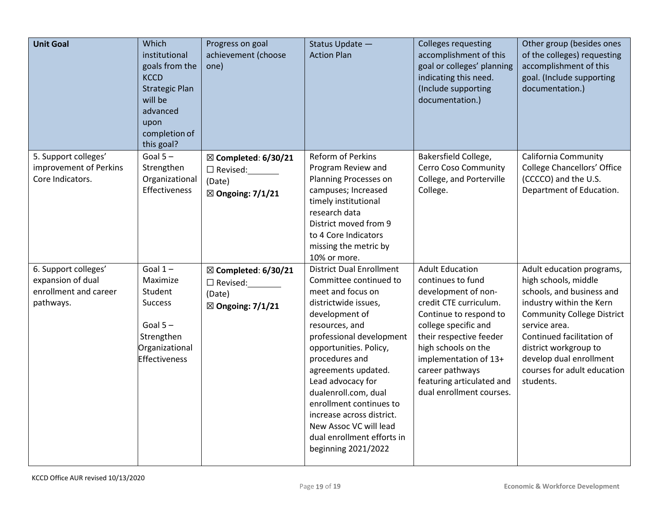| <b>Unit Goal</b>                                                                | Which<br>institutional<br>goals from the<br><b>KCCD</b><br><b>Strategic Plan</b><br>will be<br>advanced<br>upon<br>completion of<br>this goal? | Progress on goal<br>achievement (choose<br>one)                                               | Status Update -<br><b>Action Plan</b>                                                                                                                                                                                                                                                                                                                                                                                         | <b>Colleges requesting</b><br>accomplishment of this<br>goal or colleges' planning<br>indicating this need.<br>(Include supporting<br>documentation.)                                                                                                                                                 | Other group (besides ones<br>of the colleges) requesting<br>accomplishment of this<br>goal. (Include supporting<br>documentation.)                                                                                                                                                            |
|---------------------------------------------------------------------------------|------------------------------------------------------------------------------------------------------------------------------------------------|-----------------------------------------------------------------------------------------------|-------------------------------------------------------------------------------------------------------------------------------------------------------------------------------------------------------------------------------------------------------------------------------------------------------------------------------------------------------------------------------------------------------------------------------|-------------------------------------------------------------------------------------------------------------------------------------------------------------------------------------------------------------------------------------------------------------------------------------------------------|-----------------------------------------------------------------------------------------------------------------------------------------------------------------------------------------------------------------------------------------------------------------------------------------------|
| 5. Support colleges'<br>improvement of Perkins<br>Core Indicators.              | Goal $5-$<br>Strengthen<br>Organizational<br>Effectiveness                                                                                     | $\boxtimes$ Completed: 6/30/21<br>$\Box$ Revised:<br>(Date)<br>$\boxtimes$ Ongoing: 7/1/21    | Reform of Perkins<br>Program Review and<br>Planning Processes on<br>campuses; Increased<br>timely institutional<br>research data<br>District moved from 9<br>to 4 Core Indicators<br>missing the metric by<br>10% or more.                                                                                                                                                                                                    | Bakersfield College,<br>Cerro Coso Community<br>College, and Porterville<br>College.                                                                                                                                                                                                                  | California Community<br><b>College Chancellors' Office</b><br>(CCCCO) and the U.S.<br>Department of Education.                                                                                                                                                                                |
| 6. Support colleges'<br>expansion of dual<br>enrollment and career<br>pathways. | Goal $1-$<br>Maximize<br>Student<br><b>Success</b><br>Goal $5 -$<br>Strengthen<br>Organizational<br><b>Effectiveness</b>                       | $\boxtimes$ Completed: 6/30/21<br>$\square$ Revised:<br>(Date)<br>$\boxtimes$ Ongoing: 7/1/21 | <b>District Dual Enrollment</b><br>Committee continued to<br>meet and focus on<br>districtwide issues,<br>development of<br>resources, and<br>professional development<br>opportunities. Policy,<br>procedures and<br>agreements updated.<br>Lead advocacy for<br>dualenroll.com, dual<br>enrollment continues to<br>increase across district.<br>New Assoc VC will lead<br>dual enrollment efforts in<br>beginning 2021/2022 | <b>Adult Education</b><br>continues to fund<br>development of non-<br>credit CTE curriculum.<br>Continue to respond to<br>college specific and<br>their respective feeder<br>high schools on the<br>implementation of 13+<br>career pathways<br>featuring articulated and<br>dual enrollment courses. | Adult education programs,<br>high schools, middle<br>schools, and business and<br>industry within the Kern<br><b>Community College District</b><br>service area.<br>Continued facilitation of<br>district workgroup to<br>develop dual enrollment<br>courses for adult education<br>students. |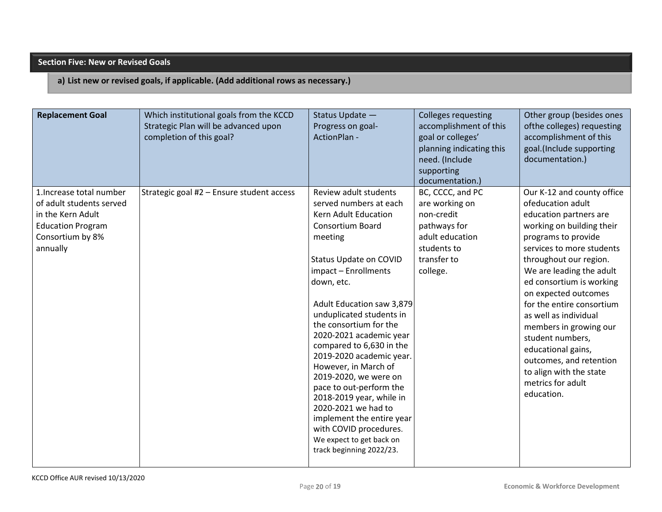## **Section Five: New or Revised Goals**

## **a) List new or revised goals, if applicable. (Add additional rows as necessary.)**

| <b>Replacement Goal</b>                                                                                                               | Which institutional goals from the KCCD<br>Strategic Plan will be advanced upon<br>completion of this goal? | Status Update -<br>Progress on goal-<br>ActionPlan -                                                                                                                                                                                                                                                                                                                                                                                                                                                                                                                                              | <b>Colleges requesting</b><br>accomplishment of this<br>goal or colleges'<br>planning indicating this<br>need. (Include<br>supporting<br>documentation.) | Other group (besides ones<br>ofthe colleges) requesting<br>accomplishment of this<br>goal.(Include supporting<br>documentation.)                                                                                                                                                                                                                                                                                                                                                        |
|---------------------------------------------------------------------------------------------------------------------------------------|-------------------------------------------------------------------------------------------------------------|---------------------------------------------------------------------------------------------------------------------------------------------------------------------------------------------------------------------------------------------------------------------------------------------------------------------------------------------------------------------------------------------------------------------------------------------------------------------------------------------------------------------------------------------------------------------------------------------------|----------------------------------------------------------------------------------------------------------------------------------------------------------|-----------------------------------------------------------------------------------------------------------------------------------------------------------------------------------------------------------------------------------------------------------------------------------------------------------------------------------------------------------------------------------------------------------------------------------------------------------------------------------------|
| 1. Increase total number<br>of adult students served<br>in the Kern Adult<br><b>Education Program</b><br>Consortium by 8%<br>annually | Strategic goal #2 - Ensure student access                                                                   | Review adult students<br>served numbers at each<br>Kern Adult Education<br><b>Consortium Board</b><br>meeting<br>Status Update on COVID<br>impact - Enrollments<br>down, etc.<br>Adult Education saw 3,879<br>unduplicated students in<br>the consortium for the<br>2020-2021 academic year<br>compared to 6,630 in the<br>2019-2020 academic year.<br>However, in March of<br>2019-2020, we were on<br>pace to out-perform the<br>2018-2019 year, while in<br>2020-2021 we had to<br>implement the entire year<br>with COVID procedures.<br>We expect to get back on<br>track beginning 2022/23. | BC, CCCC, and PC<br>are working on<br>non-credit<br>pathways for<br>adult education<br>students to<br>transfer to<br>college.                            | Our K-12 and county office<br>ofeducation adult<br>education partners are<br>working on building their<br>programs to provide<br>services to more students<br>throughout our region.<br>We are leading the adult<br>ed consortium is working<br>on expected outcomes<br>for the entire consortium<br>as well as individual<br>members in growing our<br>student numbers,<br>educational gains,<br>outcomes, and retention<br>to align with the state<br>metrics for adult<br>education. |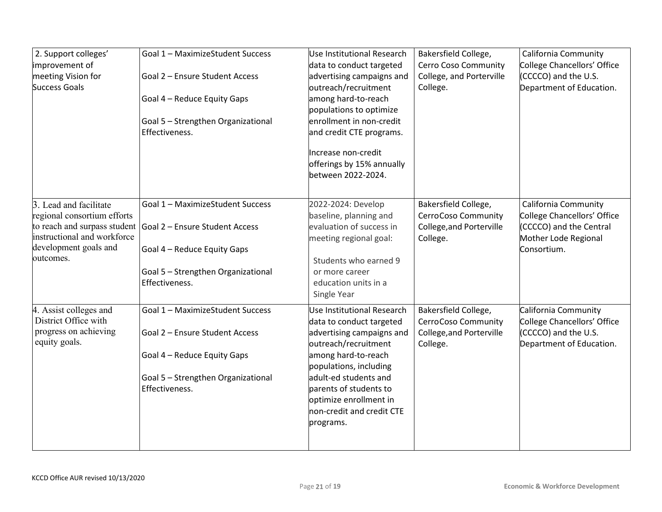| Goal 1 - MaximizeStudent Success | Use Institutional Research                                                                                                                                                                                                                                                                                                                                                | Bakersfield College,                                                                                                                                                                                                                                                                                                                                                                                                                                                                                                                                                            | California Community                                                                                                                                                                   |
|----------------------------------|---------------------------------------------------------------------------------------------------------------------------------------------------------------------------------------------------------------------------------------------------------------------------------------------------------------------------------------------------------------------------|---------------------------------------------------------------------------------------------------------------------------------------------------------------------------------------------------------------------------------------------------------------------------------------------------------------------------------------------------------------------------------------------------------------------------------------------------------------------------------------------------------------------------------------------------------------------------------|----------------------------------------------------------------------------------------------------------------------------------------------------------------------------------------|
|                                  |                                                                                                                                                                                                                                                                                                                                                                           |                                                                                                                                                                                                                                                                                                                                                                                                                                                                                                                                                                                 | <b>College Chancellors' Office</b>                                                                                                                                                     |
|                                  |                                                                                                                                                                                                                                                                                                                                                                           |                                                                                                                                                                                                                                                                                                                                                                                                                                                                                                                                                                                 | (CCCCO) and the U.S.                                                                                                                                                                   |
|                                  |                                                                                                                                                                                                                                                                                                                                                                           |                                                                                                                                                                                                                                                                                                                                                                                                                                                                                                                                                                                 | Department of Education.                                                                                                                                                               |
|                                  |                                                                                                                                                                                                                                                                                                                                                                           |                                                                                                                                                                                                                                                                                                                                                                                                                                                                                                                                                                                 |                                                                                                                                                                                        |
|                                  |                                                                                                                                                                                                                                                                                                                                                                           |                                                                                                                                                                                                                                                                                                                                                                                                                                                                                                                                                                                 |                                                                                                                                                                                        |
|                                  |                                                                                                                                                                                                                                                                                                                                                                           |                                                                                                                                                                                                                                                                                                                                                                                                                                                                                                                                                                                 |                                                                                                                                                                                        |
|                                  |                                                                                                                                                                                                                                                                                                                                                                           |                                                                                                                                                                                                                                                                                                                                                                                                                                                                                                                                                                                 |                                                                                                                                                                                        |
|                                  | Increase non-credit                                                                                                                                                                                                                                                                                                                                                       |                                                                                                                                                                                                                                                                                                                                                                                                                                                                                                                                                                                 |                                                                                                                                                                                        |
|                                  | offerings by 15% annually                                                                                                                                                                                                                                                                                                                                                 |                                                                                                                                                                                                                                                                                                                                                                                                                                                                                                                                                                                 |                                                                                                                                                                                        |
|                                  | between 2022-2024.                                                                                                                                                                                                                                                                                                                                                        |                                                                                                                                                                                                                                                                                                                                                                                                                                                                                                                                                                                 |                                                                                                                                                                                        |
|                                  |                                                                                                                                                                                                                                                                                                                                                                           |                                                                                                                                                                                                                                                                                                                                                                                                                                                                                                                                                                                 | California Community                                                                                                                                                                   |
|                                  |                                                                                                                                                                                                                                                                                                                                                                           |                                                                                                                                                                                                                                                                                                                                                                                                                                                                                                                                                                                 | College Chancellors' Office                                                                                                                                                            |
|                                  |                                                                                                                                                                                                                                                                                                                                                                           |                                                                                                                                                                                                                                                                                                                                                                                                                                                                                                                                                                                 |                                                                                                                                                                                        |
|                                  |                                                                                                                                                                                                                                                                                                                                                                           |                                                                                                                                                                                                                                                                                                                                                                                                                                                                                                                                                                                 | (CCCCO) and the Central                                                                                                                                                                |
|                                  |                                                                                                                                                                                                                                                                                                                                                                           |                                                                                                                                                                                                                                                                                                                                                                                                                                                                                                                                                                                 | Mother Lode Regional                                                                                                                                                                   |
|                                  |                                                                                                                                                                                                                                                                                                                                                                           |                                                                                                                                                                                                                                                                                                                                                                                                                                                                                                                                                                                 | Consortium.                                                                                                                                                                            |
|                                  |                                                                                                                                                                                                                                                                                                                                                                           |                                                                                                                                                                                                                                                                                                                                                                                                                                                                                                                                                                                 |                                                                                                                                                                                        |
|                                  |                                                                                                                                                                                                                                                                                                                                                                           |                                                                                                                                                                                                                                                                                                                                                                                                                                                                                                                                                                                 |                                                                                                                                                                                        |
|                                  |                                                                                                                                                                                                                                                                                                                                                                           |                                                                                                                                                                                                                                                                                                                                                                                                                                                                                                                                                                                 |                                                                                                                                                                                        |
|                                  |                                                                                                                                                                                                                                                                                                                                                                           |                                                                                                                                                                                                                                                                                                                                                                                                                                                                                                                                                                                 |                                                                                                                                                                                        |
| Goal 1 - MaximizeStudent Success | Use Institutional Research                                                                                                                                                                                                                                                                                                                                                | Bakersfield College,                                                                                                                                                                                                                                                                                                                                                                                                                                                                                                                                                            | California Community                                                                                                                                                                   |
|                                  | data to conduct targeted                                                                                                                                                                                                                                                                                                                                                  |                                                                                                                                                                                                                                                                                                                                                                                                                                                                                                                                                                                 | <b>College Chancellors' Office</b>                                                                                                                                                     |
| Goal 2 - Ensure Student Access   | advertising campaigns and                                                                                                                                                                                                                                                                                                                                                 | College, and Porterville                                                                                                                                                                                                                                                                                                                                                                                                                                                                                                                                                        | (CCCCO) and the U.S.                                                                                                                                                                   |
|                                  |                                                                                                                                                                                                                                                                                                                                                                           |                                                                                                                                                                                                                                                                                                                                                                                                                                                                                                                                                                                 | Department of Education.                                                                                                                                                               |
|                                  |                                                                                                                                                                                                                                                                                                                                                                           |                                                                                                                                                                                                                                                                                                                                                                                                                                                                                                                                                                                 |                                                                                                                                                                                        |
|                                  |                                                                                                                                                                                                                                                                                                                                                                           |                                                                                                                                                                                                                                                                                                                                                                                                                                                                                                                                                                                 |                                                                                                                                                                                        |
|                                  |                                                                                                                                                                                                                                                                                                                                                                           |                                                                                                                                                                                                                                                                                                                                                                                                                                                                                                                                                                                 |                                                                                                                                                                                        |
|                                  |                                                                                                                                                                                                                                                                                                                                                                           |                                                                                                                                                                                                                                                                                                                                                                                                                                                                                                                                                                                 |                                                                                                                                                                                        |
|                                  |                                                                                                                                                                                                                                                                                                                                                                           |                                                                                                                                                                                                                                                                                                                                                                                                                                                                                                                                                                                 |                                                                                                                                                                                        |
|                                  |                                                                                                                                                                                                                                                                                                                                                                           |                                                                                                                                                                                                                                                                                                                                                                                                                                                                                                                                                                                 |                                                                                                                                                                                        |
|                                  |                                                                                                                                                                                                                                                                                                                                                                           |                                                                                                                                                                                                                                                                                                                                                                                                                                                                                                                                                                                 |                                                                                                                                                                                        |
|                                  |                                                                                                                                                                                                                                                                                                                                                                           |                                                                                                                                                                                                                                                                                                                                                                                                                                                                                                                                                                                 |                                                                                                                                                                                        |
|                                  |                                                                                                                                                                                                                                                                                                                                                                           |                                                                                                                                                                                                                                                                                                                                                                                                                                                                                                                                                                                 |                                                                                                                                                                                        |
|                                  | Goal 2 - Ensure Student Access<br>Goal 4 - Reduce Equity Gaps<br>Goal 5 - Strengthen Organizational<br>Effectiveness.<br>Goal 1 - MaximizeStudent Success<br>Goal 2 – Ensure Student Access<br>Goal 4 - Reduce Equity Gaps<br>Goal 5 - Strengthen Organizational<br>Effectiveness.<br>Goal 4 - Reduce Equity Gaps<br>Goal 5 - Strengthen Organizational<br>Effectiveness. | data to conduct targeted<br>advertising campaigns and<br>outreach/recruitment<br>among hard-to-reach<br>populations to optimize<br>enrollment in non-credit<br>and credit CTE programs.<br>2022-2024: Develop<br>baseline, planning and<br>evaluation of success in<br>meeting regional goal:<br>Students who earned 9<br>or more career<br>education units in a<br>Single Year<br>outreach/recruitment<br>among hard-to-reach<br>populations, including<br>adult-ed students and<br>parents of students to<br>optimize enrollment in<br>non-credit and credit CTE<br>programs. | Cerro Coso Community<br>College, and Porterville<br>College.<br>Bakersfield College,<br>CerroCoso Community<br>College, and Porterville<br>College.<br>CerroCoso Community<br>College. |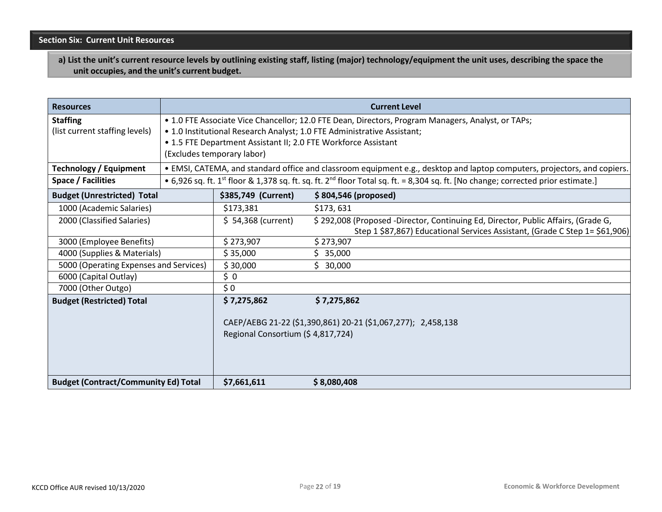**a) List the unit's current resource levels by outlining existing staff, listing (major) technology/equipment the unit uses, describing the space the unit occupies, and the unit's current budget.**

| <b>Resources</b>                            |                                                                                                    |                                                                                                   | <b>Current Level</b>                                                                                                                                     |
|---------------------------------------------|----------------------------------------------------------------------------------------------------|---------------------------------------------------------------------------------------------------|----------------------------------------------------------------------------------------------------------------------------------------------------------|
| <b>Staffing</b>                             | • 1.0 FTE Associate Vice Chancellor; 12.0 FTE Dean, Directors, Program Managers, Analyst, or TAPs; |                                                                                                   |                                                                                                                                                          |
| (list current staffing levels)              |                                                                                                    |                                                                                                   | . 1.0 Institutional Research Analyst; 1.0 FTE Administrative Assistant;                                                                                  |
|                                             |                                                                                                    |                                                                                                   | • 1.5 FTE Department Assistant II; 2.0 FTE Workforce Assistant                                                                                           |
|                                             |                                                                                                    | (Excludes temporary labor)                                                                        |                                                                                                                                                          |
| <b>Technology / Equipment</b>               |                                                                                                    |                                                                                                   | . EMSI, CATEMA, and standard office and classroom equipment e.g., desktop and laptop computers, projectors, and copiers.                                 |
| Space / Facilities                          |                                                                                                    |                                                                                                   | • 6,926 sq. ft. 1 <sup>st</sup> floor & 1,378 sq. ft. sq. ft. 2 <sup>nd</sup> floor Total sq. ft. = 8,304 sq. ft. [No change; corrected prior estimate.] |
| <b>Budget (Unrestricted) Total</b>          |                                                                                                    | \$385,749 (Current)                                                                               | \$804,546 (proposed)                                                                                                                                     |
| 1000 (Academic Salaries)                    |                                                                                                    | \$173,381                                                                                         | \$173,631                                                                                                                                                |
| 2000 (Classified Salaries)                  |                                                                                                    | $$54,368$ (current)                                                                               | \$292,008 (Proposed -Director, Continuing Ed, Director, Public Affairs, (Grade G,                                                                        |
|                                             |                                                                                                    |                                                                                                   | Step 1 \$87,867) Educational Services Assistant, (Grade C Step 1= \$61,906)                                                                              |
| 3000 (Employee Benefits)                    |                                                                                                    | \$273,907                                                                                         | \$273,907                                                                                                                                                |
| 4000 (Supplies & Materials)                 |                                                                                                    | \$35,000                                                                                          | \$35,000                                                                                                                                                 |
| 5000 (Operating Expenses and Services)      |                                                                                                    | \$30,000                                                                                          | \$30,000                                                                                                                                                 |
| 6000 (Capital Outlay)                       |                                                                                                    | \$0                                                                                               |                                                                                                                                                          |
| 7000 (Other Outgo)                          |                                                                                                    | \$0                                                                                               |                                                                                                                                                          |
| <b>Budget (Restricted) Total</b>            |                                                                                                    | \$7,275,862                                                                                       | \$7,275,862                                                                                                                                              |
|                                             |                                                                                                    | CAEP/AEBG 21-22 (\$1,390,861) 20-21 (\$1,067,277); 2,458,138<br>Regional Consortium (\$4,817,724) |                                                                                                                                                          |
| <b>Budget (Contract/Community Ed) Total</b> |                                                                                                    | \$7,661,611                                                                                       | \$8,080,408                                                                                                                                              |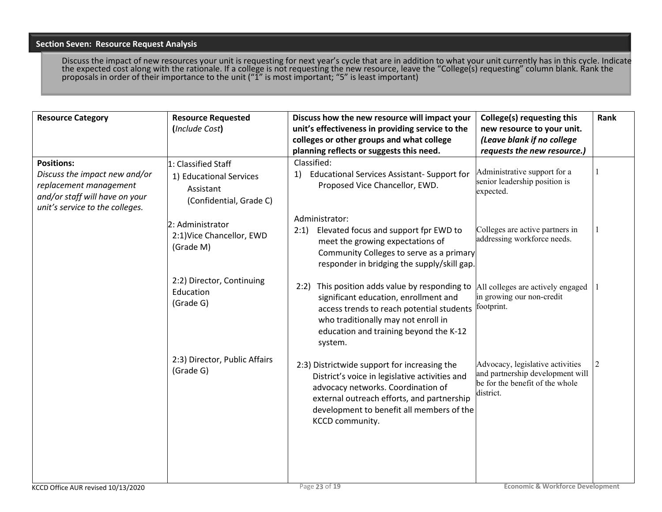### **Section Seven: Resource Request Analysis**

Discuss the impact of new resources your unit is requesting for next year's cycle that are in addition to what your unit currently has in this cycle. Indicate the expected cost along with the rationale. If a college is not requesting the new resource, leave the "College(s) requesting" column blank. Rank the proposals in order of their importance to the unit (" $1$ " is most important; "5" is least important)

| <b>Resource Category</b>                                                                                                                          | <b>Resource Requested</b><br>(Include Cost)                                            | Discuss how the new resource will impact your<br>unit's effectiveness in providing service to the<br>colleges or other groups and what college<br>planning reflects or suggests this need.                                                         | College(s) requesting this<br>new resource to your unit.<br>(Leave blank if no college<br>requests the new resource.) | Rank |
|---------------------------------------------------------------------------------------------------------------------------------------------------|----------------------------------------------------------------------------------------|----------------------------------------------------------------------------------------------------------------------------------------------------------------------------------------------------------------------------------------------------|-----------------------------------------------------------------------------------------------------------------------|------|
| <b>Positions:</b><br>Discuss the impact new and/or<br>replacement management<br>and/or staff will have on your<br>unit's service to the colleges. | 1: Classified Staff<br>1) Educational Services<br>Assistant<br>(Confidential, Grade C) | Classified:<br><b>Educational Services Assistant- Support for</b><br>1)<br>Proposed Vice Chancellor, EWD.                                                                                                                                          | Administrative support for a<br>senior leadership position is<br>expected.                                            |      |
|                                                                                                                                                   | 2: Administrator<br>2:1) Vice Chancellor, EWD<br>(Grade M)                             | Administrator:<br>2:1) Elevated focus and support fpr EWD to<br>meet the growing expectations of<br>Community Colleges to serve as a primary<br>responder in bridging the supply/skill gap.                                                        | Colleges are active partners in<br>addressing workforce needs.                                                        |      |
|                                                                                                                                                   | 2:2) Director, Continuing<br>Education<br>(Grade G)                                    | 2:2) This position adds value by responding to<br>significant education, enrollment and<br>access trends to reach potential students<br>who traditionally may not enroll in<br>education and training beyond the K-12<br>system.                   | All colleges are actively engaged<br>in growing our non-credit<br>footprint.                                          |      |
|                                                                                                                                                   | 2:3) Director, Public Affairs<br>(Grade G)                                             | 2:3) Districtwide support for increasing the<br>District's voice in legislative activities and<br>advocacy networks. Coordination of<br>external outreach efforts, and partnership<br>development to benefit all members of the<br>KCCD community. | Advocacy, legislative activities<br>and partnership development will<br>be for the benefit of the whole<br>district.  | 2    |
| KCCD Office AUR revised 10/13/2020                                                                                                                |                                                                                        | Page 23 of 19                                                                                                                                                                                                                                      | <b>Economic &amp; Workforce Development</b>                                                                           |      |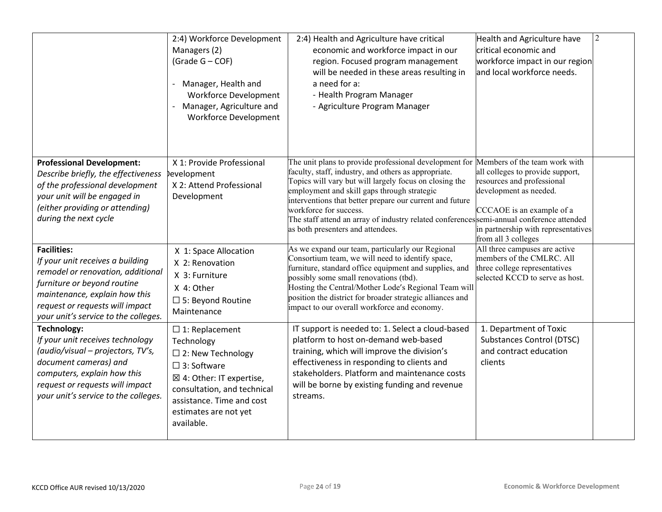|                                                                                                                                                                                                                                        | 2:4) Workforce Development<br>Managers (2)<br>(Grade G - COF)<br>Manager, Health and<br>$\overline{\phantom{a}}$<br><b>Workforce Development</b><br>Manager, Agriculture and<br>$\overline{\phantom{a}}$<br><b>Workforce Development</b> | 2:4) Health and Agriculture have critical<br>economic and workforce impact in our<br>region. Focused program management<br>will be needed in these areas resulting in<br>a need for a:<br>- Health Program Manager<br>- Agriculture Program Manager                                                                                                                                                                                                                           | Health and Agriculture have<br>critical economic and<br>workforce impact in our region<br>and local workforce needs.                                                                | $\sqrt{2}$ |
|----------------------------------------------------------------------------------------------------------------------------------------------------------------------------------------------------------------------------------------|------------------------------------------------------------------------------------------------------------------------------------------------------------------------------------------------------------------------------------------|-------------------------------------------------------------------------------------------------------------------------------------------------------------------------------------------------------------------------------------------------------------------------------------------------------------------------------------------------------------------------------------------------------------------------------------------------------------------------------|-------------------------------------------------------------------------------------------------------------------------------------------------------------------------------------|------------|
| <b>Professional Development:</b><br>Describe briefly, the effectiveness<br>of the professional development<br>your unit will be engaged in<br>(either providing or attending)<br>during the next cycle                                 | X 1: Provide Professional<br>levelopment<br>X 2: Attend Professional<br>Development                                                                                                                                                      | The unit plans to provide professional development for Members of the team work with<br>faculty, staff, industry, and others as appropriate.<br>Topics will vary but will largely focus on closing the<br>employment and skill gaps through strategic<br>interventions that better prepare our current and future<br>workforce for success.<br>The staff attend an array of industry related conferences semi-annual conference attended<br>as both presenters and attendees. | all colleges to provide support,<br>resources and professional<br>development as needed.<br>CCCAOE is an example of a<br>in partnership with representatives<br>from all 3 colleges |            |
| <b>Facilities:</b><br>If your unit receives a building<br>remodel or renovation, additional<br>furniture or beyond routine<br>maintenance, explain how this<br>request or requests will impact<br>your unit's service to the colleges. | X 1: Space Allocation<br>X 2: Renovation<br>X 3: Furniture<br>X 4: Other<br>$\square$ 5: Beyond Routine<br>Maintenance                                                                                                                   | As we expand our team, particularly our Regional<br>Consortium team, we will need to identify space,<br>furniture, standard office equipment and supplies, and<br>possibly some small renovations (tbd).<br>Hosting the Central/Mother Lode's Regional Team will<br>position the district for broader strategic alliances and<br>impact to our overall workforce and economy.                                                                                                 | All three campuses are active<br>members of the CMLRC. All<br>three college representatives<br>selected KCCD to serve as host.                                                      |            |
| <b>Technology:</b><br>If your unit receives technology<br>(audio/visual - projectors, TV's,<br>document cameras) and<br>computers, explain how this<br>request or requests will impact<br>your unit's service to the colleges.         | $\square$ 1: Replacement<br>Technology<br>$\Box$ 2: New Technology<br>$\square$ 3: Software<br>⊠ 4: Other: IT expertise,<br>consultation, and technical<br>assistance. Time and cost<br>estimates are not yet<br>available.              | IT support is needed to: 1. Select a cloud-based<br>platform to host on-demand web-based<br>training, which will improve the division's<br>effectiveness in responding to clients and<br>stakeholders. Platform and maintenance costs<br>will be borne by existing funding and revenue<br>streams.                                                                                                                                                                            | 1. Department of Toxic<br><b>Substances Control (DTSC)</b><br>and contract education<br>clients                                                                                     |            |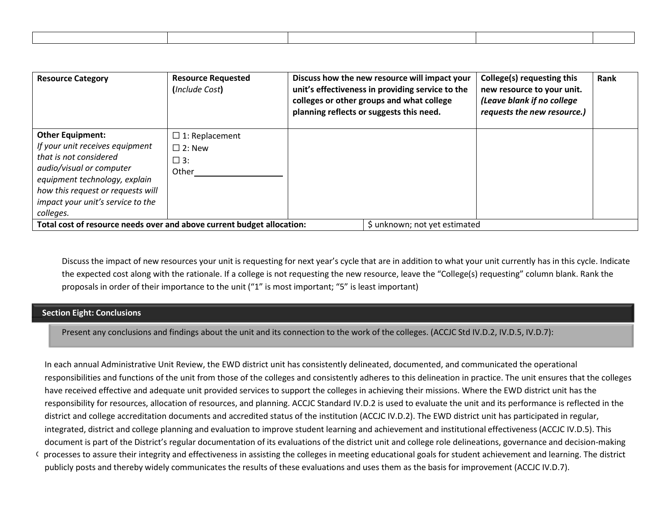| <b>Resource Category</b>                                                                                                                                                                                                                 | <b>Resource Requested</b><br>(Include Cost)                     | Discuss how the new resource will impact your<br>unit's effectiveness in providing service to the<br>colleges or other groups and what college<br>planning reflects or suggests this need. | College(s) requesting this<br>new resource to your unit.<br>(Leave blank if no college<br>requests the new resource.) | Rank |
|------------------------------------------------------------------------------------------------------------------------------------------------------------------------------------------------------------------------------------------|-----------------------------------------------------------------|--------------------------------------------------------------------------------------------------------------------------------------------------------------------------------------------|-----------------------------------------------------------------------------------------------------------------------|------|
| <b>Other Equipment:</b><br>If your unit receives equipment<br>that is not considered<br>audio/visual or computer<br>equipment technology, explain<br>how this request or requests will<br>impact your unit's service to the<br>colleges. | $\Box$ 1: Replacement<br>$\Box$ 2: New<br>$\square$ 3:<br>Other |                                                                                                                                                                                            |                                                                                                                       |      |
| Total cost of resource needs over and above current budget allocation:                                                                                                                                                                   |                                                                 | \$ unknown; not yet estimated                                                                                                                                                              |                                                                                                                       |      |

Discuss the impact of new resources your unit is requesting for next year's cycle that are in addition to what your unit currently has in this cycle. Indicate the expected cost along with the rationale. If a college is not requesting the new resource, leave the "College(s) requesting" column blank. Rank the proposals in order of their importance to the unit ("1" is most important; "5" is least important)

#### **Section Eight: Conclusions**

Present any conclusions and findings about the unit and its connection to the work of the colleges. (ACCJC Std IV.D.2, IV.D.5, IV.D.7):

In each annual Administrative Unit Review, the EWD district unit has consistently delineated, documented, and communicated the operational responsibilities and functions of the unit from those of the colleges and consistently adheres to this delineation in practice. The unit ensures that the colleges have received effective and adequate unit provided services to support the colleges in achieving their missions. Where the EWD district unit has the responsibility for resources, allocation of resources, and planning. ACCJC Standard IV.D.2 is used to evaluate the unit and its performance is reflected in the district and college accreditation documents and accredited status of the institution (ACCJC IV.D.2). The EWD district unit has participated in regular, integrated, district and college planning and evaluation to improve student learning and achievement and institutional effectiveness (ACCJC IV.D.5). This document is part of the District's regular documentation of its evaluations of the district unit and college role delineations, governance and decision-making

Oprocesses to assure their integrity and effectiveness in assisting the colleges in meeting educational goals for student achievement and learning. The district publicly posts and thereby widely communicates the results of these evaluations and uses them as the basis for improvement (ACCJC IV.D.7).